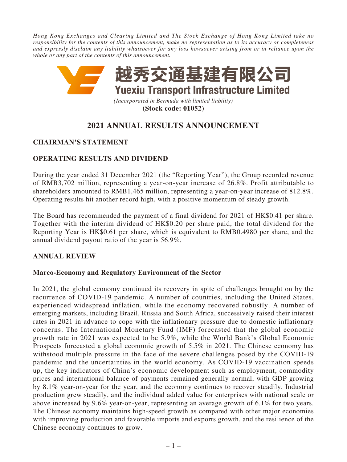*Hong Kong Exchanges and Clearing Limited and The Stock Exchange of Hong Kong Limited take no responsibility for the contents of this announcement, make no representation as to its accuracy or completeness and expressly disclaim any liability whatsoever for any loss howsoever arising from or in reliance upon the whole or any part of the contents of this announcement.*



**(Stock code: 01052)**

# **2021 ANNUAL RESULTS ANNOUNCEMENT**

# **CHAIRMAN'S STATEMENT**

# **OPERATING RESULTS AND DIVIDEND**

During the year ended 31 December 2021 (the "Reporting Year"), the Group recorded revenue of RMB3,702 million, representing a year-on-year increase of 26.8%. Profit attributable to shareholders amounted to RMB1,465 million, representing a year-on-year increase of 812.8%. Operating results hit another record high, with a positive momentum of steady growth.

The Board has recommended the payment of a final dividend for 2021 of HK\$0.41 per share. Together with the interim dividend of HK\$0.20 per share paid, the total dividend for the Reporting Year is HK\$0.61 per share, which is equivalent to RMB0.4980 per share, and the annual dividend payout ratio of the year is 56.9%.

# **ANNUAL REVIEW**

# **Marco-Economy and Regulatory Environment of the Sector**

In 2021, the global economy continued its recovery in spite of challenges brought on by the recurrence of COVID-19 pandemic. A number of countries, including the United States, experienced widespread inflation, while the economy recovered robustly. A number of emerging markets, including Brazil, Russia and South Africa, successively raised their interest rates in 2021 in advance to cope with the inflationary pressure due to domestic inflationary concerns. The International Monetary Fund (IMF) forecasted that the global economic growth rate in 2021 was expected to be 5.9%, while the World Bank's Global Economic Prospects forecasted a global economic growth of 5.5% in 2021. The Chinese economy has withstood multiple pressure in the face of the severe challenges posed by the COVID-19 pandemic and the uncertainties in the world economy. As COVID-19 vaccination speeds up, the key indicators of China's economic development such as employment, commodity prices and international balance of payments remained generally normal, with GDP growing by 8.1% year-on-year for the year, and the economy continues to recover steadily. Industrial production grew steadily, and the individual added value for enterprises with national scale or above increased by 9.6% year-on-year, representing an average growth of 6.1% for two years. The Chinese economy maintains high-speed growth as compared with other major economies with improving production and favorable imports and exports growth, and the resilience of the Chinese economy continues to grow.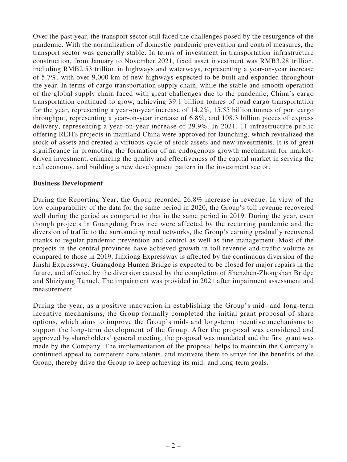Over the past year, the transport sector still faced the challenges posed by the resurgence of the pandemic. With the normalization of domestic pandemic prevention and control measures, the transport sector was generally stable. In terms of investment in transportation infrastructure construction, from January to November 2021, fixed asset investment was RMB3.28 trillion, including RMB2.53 trillion in highways and waterways, representing a year-on-year increase of 5.7%, with over 9,000 km of new highways expected to be built and expanded throughout the year. In terms of cargo transportation supply chain, while the stable and smooth operation of the global supply chain faced with great challenges due to the pandemic, China's cargo transportation continued to grow, achieving 39.1 billion tonnes of road cargo transportation for the year, representing a year-on-year increase of 14.2%, 15.55 billion tonnes of port cargo throughput, representing a year-on-year increase of 6.8%, and 108.3 billion pieces of express delivery, representing a year-on-year increase of 29.9%. In 2021, 11 infrastructure public offering REITs projects in mainland China were approved for launching, which revitalized the stock of assets and created a virtuous cycle of stock assets and new investments. It is of great significance in promoting the formation of an endogenous growth mechanism for marketdriven investment, enhancing the quality and effectiveness of the capital market in serving the real economy, and building a new development pattern in the investment sector.

### **Business Development**

During the Reporting Year, the Group recorded 26.8% increase in revenue. In view of the low comparability of the data for the same period in 2020, the Group's toll revenue recovered well during the period as compared to that in the same period in 2019. During the year, even though projects in Guangdong Province were affected by the recurring pandemic and the diversion of traffic to the surrounding road networks, the Group's earning gradually recovered thanks to regular pandemic prevention and control as well as fine management. Most of the projects in the central provinces have achieved growth in toll revenue and traffic volume as compared to those in 2019. Jinxiong Expressway is affected by the continuous diversion of the Jinshi Expressway. Guangdong Humen Bridge is expected to be closed for major repairs in the future, and affected by the diversion caused by the completion of Shenzhen-Zhongshan Bridge and Shiziyang Tunnel. The impairment was provided in 2021 after impairment assessment and measurement.

During the year, as a positive innovation in establishing the Group's mid- and long-term incentive mechanisms, the Group formally completed the initial grant proposal of share options, which aims to improve the Group's mid- and long-term incentive mechanisms to support the long-term development of the Group. After the proposal was considered and approved by shareholders' general meeting, the proposal was mandated and the first grant was made by the Company. The implementation of the proposal helps to maintain the Company's continued appeal to competent core talents, and motivate them to strive for the benefits of the Group, thereby drive the Group to keep achieving its mid- and long-term goals.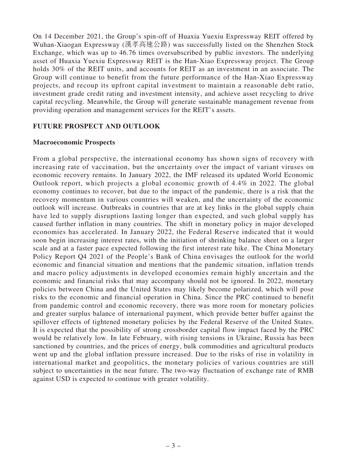On 14 December 2021, the Group's spin-off of Huaxia Yuexiu Expressway REIT offered by Wuhan-Xiaogan Expressway (漢孝高速公路) was successfully listed on the Shenzhen Stock Exchange, which was up to 46.76 times oversubscribed by public investors. The underlying asset of Huaxia Yuexiu Expressway REIT is the Han-Xiao Expressway project. The Group holds 30% of the REIT units, and accounts for REIT as an investment in an associate. The Group will continue to benefit from the future performance of the Han-Xiao Expressway projects, and recoup its upfront capital investment to maintain a reasonable debt ratio, investment grade credit rating and investment intensity, and achieve asset recycling to drive capital recycling. Meanwhile, the Group will generate sustainable management revenue from providing operation and management services for the REIT's assets.

### **FUTURE PROSPECT AND OUTLOOK**

#### **Macroeconomic Prospects**

From a global perspective, the international economy has shown signs of recovery with increasing rate of vaccination, but the uncertainty over the impact of variant viruses on economic recovery remains. In January 2022, the IMF released its updated World Economic Outlook report, which projects a global economic growth of 4.4% in 2022. The global economy continues to recover, but due to the impact of the pandemic, there is a risk that the recovery momentum in various countries will weaken, and the uncertainty of the economic outlook will increase. Outbreaks in countries that are at key links in the global supply chain have led to supply disruptions lasting longer than expected, and such global supply has caused further inflation in many countries. The shift in monetary policy in major developed economies has accelerated. In January 2022, the Federal Reserve indicated that it would soon begin increasing interest rates, with the initiation of shrinking balance sheet on a larger scale and at a faster pace expected following the first interest rate hike. The China Monetary Policy Report Q4 2021 of the People's Bank of China envisages the outlook for the world economic and financial situation and mentions that the pandemic situation, inflation trends and macro policy adjustments in developed economies remain highly uncertain and the economic and financial risks that may accompany should not be ignored. In 2022, monetary policies between China and the United States may likely become polarized, which will pose risks to the economic and financial operation in China. Since the PRC continued to benefit from pandemic control and economic recovery, there was more room for monetary policies and greater surplus balance of international payment, which provide better buffer against the spillover effects of tightened monetary policies by the Federal Reserve of the United States. It is expected that the possibility of strong crossborder capital flow impact faced by the PRC would be relatively low. In late February, with rising tensions in Ukraine, Russia has been sanctioned by countries, and the prices of energy, bulk commodities and agricultural products went up and the global inflation pressure increased. Due to the risks of rise in volatility in international market and geopolitics, the monetary policies of various countries are still subject to uncertainties in the near future. The two-way fluctuation of exchange rate of RMB against USD is expected to continue with greater volatility.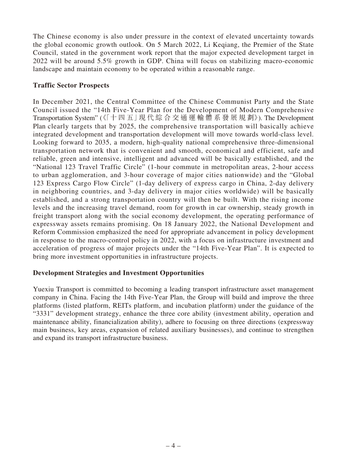The Chinese economy is also under pressure in the context of elevated uncertainty towards the global economic growth outlook. On 5 March 2022, Li Keqiang, the Premier of the State Council, stated in the government work report that the major expected development target in 2022 will be around 5.5% growth in GDP. China will focus on stabilizing macro-economic landscape and maintain economy to be operated within a reasonable range.

# **Traffic Sector Prospects**

In December 2021, the Central Committee of the Chinese Communist Party and the State Council issued the "14th Five-Year Plan for the Development of Modern Comprehensive Transportation System" (《「十 四 五」現 代 綜 合 交 通 運 輸 體 系 發 展 規 劃》). The Development Plan clearly targets that by 2025, the comprehensive transportation will basically achieve integrated development and transportation development will move towards world-class level. Looking forward to 2035, a modern, high-quality national comprehensive three-dimensional transportation network that is convenient and smooth, economical and efficient, safe and reliable, green and intensive, intelligent and advanced will be basically established, and the "National 123 Travel Traffic Circle" (1-hour commute in metropolitan areas, 2-hour access to urban agglomeration, and 3-hour coverage of major cities nationwide) and the "Global 123 Express Cargo Flow Circle" (1-day delivery of express cargo in China, 2-day delivery in neighboring countries, and 3-day delivery in major cities worldwide) will be basically established, and a strong transportation country will then be built. With the rising income levels and the increasing travel demand, room for growth in car ownership, steady growth in freight transport along with the social economy development, the operating performance of expressway assets remains promising. On 18 January 2022, the National Development and Reform Commission emphasized the need for appropriate advancement in policy development in response to the macro-control policy in 2022, with a focus on infrastructure investment and acceleration of progress of major projects under the "14th Five-Year Plan". It is expected to bring more investment opportunities in infrastructure projects.

# **Development Strategies and Investment Opportunities**

Yuexiu Transport is committed to becoming a leading transport infrastructure asset management company in China. Facing the 14th Five-Year Plan, the Group will build and improve the three platforms (listed platform, REITs platform, and incubation platform) under the guidance of the "3331" development strategy, enhance the three core ability (investment ability, operation and maintenance ability, financialization ability), adhere to focusing on three directions (expressway main business, key areas, expansion of related auxiliary businesses), and continue to strengthen and expand its transport infrastructure business.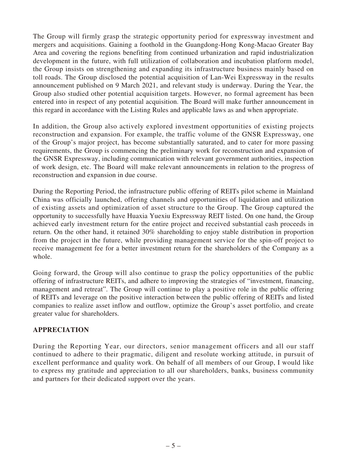The Group will firmly grasp the strategic opportunity period for expressway investment and mergers and acquisitions. Gaining a foothold in the Guangdong-Hong Kong-Macao Greater Bay Area and covering the regions benefiting from continued urbanization and rapid industrialization development in the future, with full utilization of collaboration and incubation platform model, the Group insists on strengthening and expanding its infrastructure business mainly based on toll roads. The Group disclosed the potential acquisition of Lan-Wei Expressway in the results announcement published on 9 March 2021, and relevant study is underway. During the Year, the Group also studied other potential acquisition targets. However, no formal agreement has been entered into in respect of any potential acquisition. The Board will make further announcement in this regard in accordance with the Listing Rules and applicable laws as and when appropriate.

In addition, the Group also actively explored investment opportunities of existing projects reconstruction and expansion. For example, the traffic volume of the GNSR Expressway, one of the Group's major project, has become substantially saturated, and to cater for more passing requirements, the Group is commencing the preliminary work for reconstruction and expansion of the GNSR Expressway, including communication with relevant government authorities, inspection of work design, etc. The Board will make relevant announcements in relation to the progress of reconstruction and expansion in due course.

During the Reporting Period, the infrastructure public offering of REITs pilot scheme in Mainland China was officially launched, offering channels and opportunities of liquidation and utilization of existing assets and optimization of asset structure to the Group. The Group captured the opportunity to successfully have Huaxia Yuexiu Expressway REIT listed. On one hand, the Group achieved early investment return for the entire project and received substantial cash proceeds in return. On the other hand, it retained 30% shareholding to enjoy stable distribution in proportion from the project in the future, while providing management service for the spin-off project to receive management fee for a better investment return for the shareholders of the Company as a whole.

Going forward, the Group will also continue to grasp the policy opportunities of the public offering of infrastructure REITs, and adhere to improving the strategies of "investment, financing, management and retreat". The Group will continue to play a positive role in the public offering of REITs and leverage on the positive interaction between the public offering of REITs and listed companies to realize asset inflow and outflow, optimize the Group's asset portfolio, and create greater value for shareholders.

# **APPRECIATION**

During the Reporting Year, our directors, senior management officers and all our staff continued to adhere to their pragmatic, diligent and resolute working attitude, in pursuit of excellent performance and quality work. On behalf of all members of our Group, I would like to express my gratitude and appreciation to all our shareholders, banks, business community and partners for their dedicated support over the years.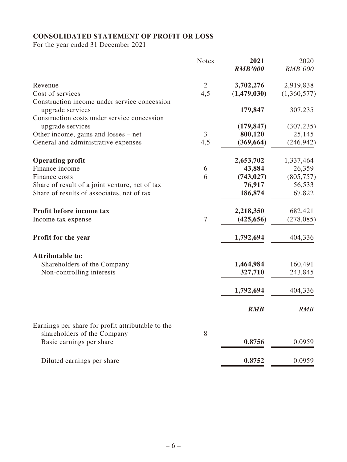# **CONSOLIDATED STATEMENT OF PROFIT OR LOSS**

For the year ended 31 December 2021

|                                                                  | <b>Notes</b>   | 2021<br><b>RMB'000</b> | 2020<br><b>RMB'000</b> |
|------------------------------------------------------------------|----------------|------------------------|------------------------|
| Revenue                                                          | $\overline{2}$ | 3,702,276              | 2,919,838              |
| Cost of services                                                 | 4,5            | (1,479,030)            | (1,360,577)            |
| Construction income under service concession<br>upgrade services |                | 179,847                | 307,235                |
| Construction costs under service concession<br>upgrade services  |                | (179, 847)             | (307, 235)             |
| Other income, gains and losses – net                             | 3              | 800,120                | 25,145                 |
| General and administrative expenses                              | 4,5            | (369, 664)             | (246, 942)             |
| <b>Operating profit</b>                                          |                | 2,653,702              | 1,337,464              |
| Finance income                                                   | 6              | 43,884                 | 26,359                 |
| Finance costs                                                    | 6              | (743, 027)             | (805, 757)             |
| Share of result of a joint venture, net of tax                   |                | 76,917                 | 56,533                 |
| Share of results of associates, net of tax                       |                | 186,874                | 67,822                 |
| Profit before income tax                                         |                | 2,218,350              | 682,421                |
| Income tax expense                                               | $\overline{7}$ | (425, 656)             | (278,085)              |
| Profit for the year                                              |                | 1,792,694              | 404,336                |
| <b>Attributable to:</b>                                          |                |                        |                        |
| Shareholders of the Company                                      |                | 1,464,984              | 160,491                |
| Non-controlling interests                                        |                | 327,710                | 243,845                |
|                                                                  |                | 1,792,694              | 404,336                |
|                                                                  |                | <b>RMB</b>             | <b>RMB</b>             |
| Earnings per share for profit attributable to the                |                |                        |                        |
| shareholders of the Company<br>Basic earnings per share          | 8              | 0.8756                 | 0.0959                 |
| Diluted earnings per share                                       |                | 0.8752                 | 0.0959                 |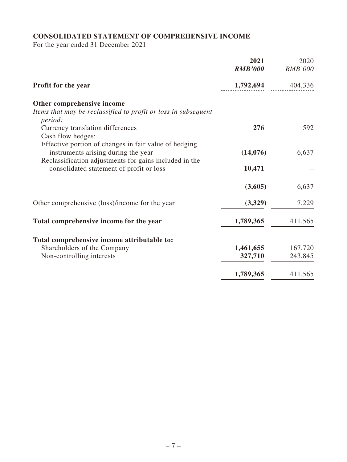# **CONSOLIDATED STATEMENT OF COMPREHENSIVE INCOME**

For the year ended 31 December 2021

|                                                                                              | 2021<br><b>RMB'000</b> | 2020<br><b>RMB'000</b> |
|----------------------------------------------------------------------------------------------|------------------------|------------------------|
| <b>Profit for the year</b>                                                                   | 1,792,694              | 404,336                |
| Other comprehensive income                                                                   |                        |                        |
| Items that may be reclassified to profit or loss in subsequent<br>period:                    |                        |                        |
| Currency translation differences                                                             | 276                    | 592                    |
| Cash flow hedges:                                                                            |                        |                        |
| Effective portion of changes in fair value of hedging<br>instruments arising during the year | (14,076)               | 6,637                  |
| Reclassification adjustments for gains included in the                                       |                        |                        |
| consolidated statement of profit or loss                                                     | 10,471                 |                        |
|                                                                                              | (3,605)                | 6,637                  |
| Other comprehensive (loss)/income for the year                                               | (3,329)                | 7,229                  |
| Total comprehensive income for the year                                                      | 1,789,365              | 411,565                |
|                                                                                              |                        |                        |
| Total comprehensive income attributable to:<br>Shareholders of the Company                   | 1,461,655              | 167,720                |
| Non-controlling interests                                                                    | 327,710                | 243,845                |
|                                                                                              |                        |                        |
|                                                                                              | 1,789,365              | 411,565                |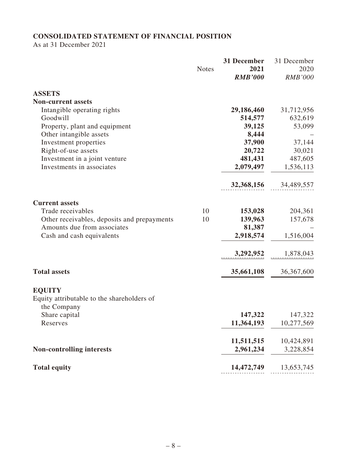# **CONSOLIDATED STATEMENT OF FINANCIAL POSITION**

As at 31 December 2021

|                                                           | <b>Notes</b> | 31 December<br>2021<br><b>RMB'000</b> | 31 December<br>2020<br><b>RMB'000</b> |
|-----------------------------------------------------------|--------------|---------------------------------------|---------------------------------------|
| <b>ASSETS</b>                                             |              |                                       |                                       |
| <b>Non-current assets</b>                                 |              |                                       |                                       |
| Intangible operating rights                               |              | 29,186,460                            | 31,712,956                            |
| Goodwill                                                  |              | 514,577                               | 632,619                               |
| Property, plant and equipment<br>Other intangible assets  |              | 39,125<br>8,444                       | 53,099                                |
| Investment properties                                     |              | 37,900                                | 37,144                                |
| Right-of-use assets                                       |              | 20,722                                | 30,021                                |
| Investment in a joint venture                             |              | 481,431                               | 487,605                               |
| Investments in associates                                 |              | 2,079,497                             | 1,536,113                             |
|                                                           |              | 32,368,156                            | 34,489,557                            |
| <b>Current assets</b>                                     |              |                                       |                                       |
| Trade receivables                                         | 10           | 153,028                               | 204,361                               |
| Other receivables, deposits and prepayments               | 10           | 139,963                               | 157,678                               |
| Amounts due from associates                               |              | 81,387                                |                                       |
| Cash and cash equivalents                                 |              | 2,918,574                             | 1,516,004                             |
|                                                           |              | 3,292,952                             | 1,878,043                             |
| <b>Total assets</b>                                       |              | 35,661,108                            | 36,367,600                            |
| <b>EQUITY</b>                                             |              |                                       |                                       |
| Equity attributable to the shareholders of<br>the Company |              |                                       |                                       |
| Share capital                                             |              | 147,322                               | 147,322                               |
| Reserves                                                  |              | 11,364,193                            | 10,277,569                            |
|                                                           |              | 11,511,515                            | 10,424,891                            |
| <b>Non-controlling interests</b>                          |              | 2,961,234                             | 3,228,854                             |
| <b>Total equity</b>                                       |              | 14,472,749                            | 13,653,745                            |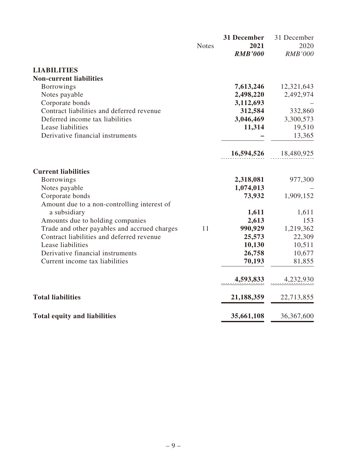|                                              | <b>Notes</b> | 31 December<br>2021<br><b>RMB'000</b> | 31 December<br>2020<br><b>RMB'000</b> |
|----------------------------------------------|--------------|---------------------------------------|---------------------------------------|
| <b>LIABILITIES</b>                           |              |                                       |                                       |
| <b>Non-current liabilities</b>               |              |                                       |                                       |
| <b>Borrowings</b>                            |              | 7,613,246                             | 12,321,643                            |
| Notes payable                                |              | 2,498,220                             | 2,492,974                             |
| Corporate bonds                              |              | 3,112,693                             |                                       |
| Contract liabilities and deferred revenue    |              | 312,584                               | 332,860                               |
| Deferred income tax liabilities              |              | 3,046,469                             | 3,300,573                             |
| Lease liabilities                            |              | 11,314                                | 19,510                                |
| Derivative financial instruments             |              |                                       | 13,365                                |
|                                              |              | 16,594,526                            | 18,480,925                            |
| <b>Current liabilities</b>                   |              |                                       |                                       |
| <b>Borrowings</b>                            |              | 2,318,081                             | 977,300                               |
| Notes payable                                |              | 1,074,013                             |                                       |
| Corporate bonds                              |              | 73,932                                | 1,909,152                             |
| Amount due to a non-controlling interest of  |              |                                       |                                       |
| a subsidiary                                 |              | 1,611                                 | 1,611                                 |
| Amounts due to holding companies             |              | 2,613                                 | 153                                   |
| Trade and other payables and accrued charges | 11           | 990,929                               | 1,219,362                             |
| Contract liabilities and deferred revenue    |              | 25,573                                | 22,309                                |
| Lease liabilities                            |              | 10,130                                | 10,511                                |
| Derivative financial instruments             |              | 26,758                                | 10,677                                |
| Current income tax liabilities               |              | 70,193                                | 81,855                                |
|                                              |              | 4,593,833                             | 4,232,930                             |
| <b>Total liabilities</b>                     |              | 21,188,359                            | 22,713,855                            |
| <b>Total equity and liabilities</b>          |              | 35,661,108                            | 36, 367, 600                          |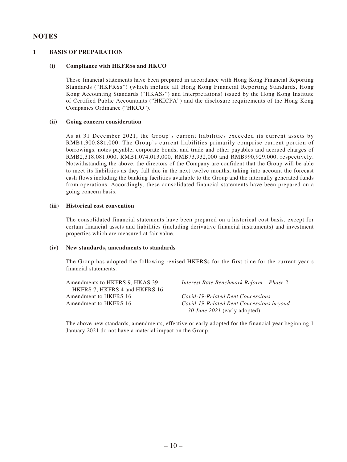#### **NOTES**

#### **1 BASIS OF PREPARATION**

#### **(i) Compliance with HKFRSs and HKCO**

These financial statements have been prepared in accordance with Hong Kong Financial Reporting Standards ("HKFRSs") (which include all Hong Kong Financial Reporting Standards, Hong Kong Accounting Standards ("HKASs") and Interpretations) issued by the Hong Kong Institute of Certified Public Accountants ("HKICPA") and the disclosure requirements of the Hong Kong Companies Ordinance ("HKCO").

#### **(ii) Going concern consideration**

As at 31 December 2021, the Group's current liabilities exceeded its current assets by RMB1,300,881,000. The Group's current liabilities primarily comprise current portion of borrowings, notes payable, corporate bonds, and trade and other payables and accrued charges of RMB2,318,081,000, RMB1,074,013,000, RMB73,932,000 and RMB990,929,000, respectively. Notwithstanding the above, the directors of the Company are confident that the Group will be able to meet its liabilities as they fall due in the next twelve months, taking into account the forecast cash flows including the banking facilities available to the Group and the internally generated funds from operations. Accordingly, these consolidated financial statements have been prepared on a going concern basis.

#### **(iii) Historical cost convention**

The consolidated financial statements have been prepared on a historical cost basis, except for certain financial assets and liabilities (including derivative financial instruments) and investment properties which are measured at fair value.

#### **(iv) New standards, amendments to standards**

The Group has adopted the following revised HKFRSs for the first time for the current year's financial statements.

| Amendments to HKFRS 9, HKAS 39, | Interest Rate Benchmark Reform – Phase 2 |
|---------------------------------|------------------------------------------|
| HKFRS 7. HKFRS 4 and HKFRS 16   |                                          |
| Amendment to HKFRS 16           | Covid-19-Related Rent Concessions        |
| Amendment to HKFRS 16           | Covid-19-Related Rent Concessions beyond |
|                                 | 30 June 2021 (early adopted)             |

The above new standards, amendments, effective or early adopted for the financial year beginning 1 January 2021 do not have a material impact on the Group.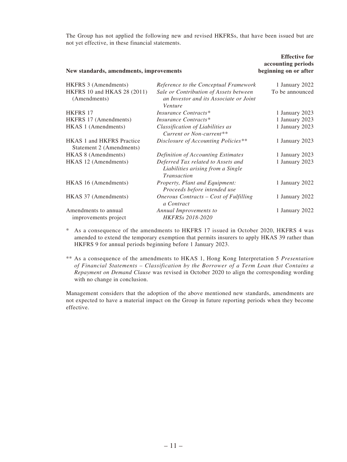The Group has not applied the following new and revised HKFRSs, that have been issued but are not yet effective, in these financial statements.

**Effective** for  $\theta$ 

| New standards, amendments, improvements                      |                                                                                             | <b>Effective for</b><br>accounting periods<br>beginning on or after |
|--------------------------------------------------------------|---------------------------------------------------------------------------------------------|---------------------------------------------------------------------|
| <b>HKFRS 3 (Amendments)</b>                                  | Reference to the Conceptual Framework                                                       | 1 January 2022                                                      |
| HKFRS 10 and HKAS 28 (2011)<br>(Amendments)                  | Sale or Contribution of Assets between<br>an Investor and its Associate or Joint<br>Venture | To be announced                                                     |
| <b>HKFRS 17</b>                                              | Insurance Contracts*                                                                        | 1 January 2023                                                      |
| HKFRS 17 (Amendments)                                        | Insurance Contracts*                                                                        | 1 January 2023                                                      |
| HKAS 1 (Amendments)                                          | Classification of Liabilities as<br>Current or Non-current**                                | 1 January 2023                                                      |
| <b>HKAS 1 and HKFRS Practice</b><br>Statement 2 (Amendments) | Disclosure of Accounting Policies**                                                         | 1 January 2023                                                      |
| HKAS 8 (Amendments)                                          | Definition of Accounting Estimates                                                          | 1 January 2023                                                      |
| HKAS 12 (Amendments)                                         | Deferred Tax related to Assets and<br>Liabilities arising from a Single<br>Transaction      | 1 January 2023                                                      |
| HKAS 16 (Amendments)                                         | Property, Plant and Equipment:<br>Proceeds before intended use                              | 1 January 2022                                                      |
| HKAS 37 (Amendments)                                         | Onerous Contracts - Cost of Fulfilling<br>a Contract                                        | 1 January 2022                                                      |
| Amendments to annual<br>improvements project                 | Annual Improvements to<br>HKFRSs 2018-2020                                                  | 1 January 2022                                                      |

\* As a consequence of the amendments to HKFRS 17 issued in October 2020, HKFRS 4 was amended to extend the temporary exemption that permits insurers to apply HKAS 39 rather than HKFRS 9 for annual periods beginning before 1 January 2023.

\*\* As a consequence of the amendments to HKAS 1, Hong Kong Interpretation 5 *Presentation of Financial Statements – Classification by the Borrower of a Term Loan that Contains a Repayment on Demand Clause* was revised in October 2020 to align the corresponding wording with no change in conclusion.

Management considers that the adoption of the above mentioned new standards, amendments are not expected to have a material impact on the Group in future reporting periods when they become effective.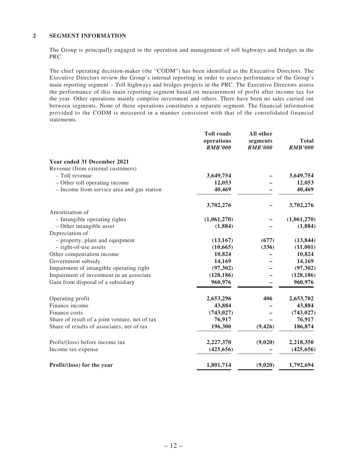#### **2 SEGMENT INFORMATION**

The Group is principally engaged in the operation and management of toll highways and bridges in the PRC.

The chief operating decision-maker (the "CODM") has been identified as the Executive Directors. The Executive Directors review the Group's internal reporting in order to assess performance of the Group's main reporting segment – Toll highways and bridges projects in the PRC. The Executive Directors assess the performance of this main reporting segment based on measurement of profit after income tax for the year. Other operations mainly comprise investment and others. There have been no sales carried out between segments. None of these operations constitutes a separate segment. The financial information provided to the CODM is measured in a manner consistent with that of the consolidated financial statements.

|                                                    | <b>Toll roads</b><br>operations<br><b>RMB'000</b> | All other<br>segments<br><b>RMB'000</b> | <b>Total</b><br><b>RMB'000</b> |
|----------------------------------------------------|---------------------------------------------------|-----------------------------------------|--------------------------------|
| Year ended 31 December 2021                        |                                                   |                                         |                                |
| Revenue (from external customers)                  |                                                   |                                         |                                |
| - Toll revenue                                     | 3,649,754                                         |                                         | 3,649,754                      |
| - Other toll operating income                      | 12,053                                            |                                         | 12,053                         |
| - Income from service area and gas station         | 40,469                                            |                                         | 40,469                         |
|                                                    | 3,702,276                                         |                                         | 3,702,276                      |
| Amortisation of                                    |                                                   |                                         |                                |
| - Intangible operating rights                      | (1,061,270)                                       |                                         | (1,061,270)                    |
| - Other intangible asset                           | (1,884)                                           |                                         | (1, 884)                       |
| Depreciation of<br>- property, plant and equipment | (13, 167)                                         | (677)                                   | (13, 844)                      |
| - right-of-use assets                              | (10, 665)                                         | (336)                                   | (11,001)                       |
| Other compensation income                          | 10,824                                            |                                         | 10,824                         |
| Government subsidy                                 | 14,169                                            |                                         | 14,169                         |
| Impairment of intangible operating right           | (97, 302)                                         |                                         | (97, 302)                      |
| Impairment of investment in an associate           | (128, 186)                                        |                                         | (128, 186)                     |
| Gain from disposal of a subsidiary                 | 960,976                                           |                                         | 960,976                        |
| Operating profit                                   | 2,653,296                                         | 406                                     | 2,653,702                      |
| Finance income                                     | 43,884                                            |                                         | 43,884                         |
| Finance costs                                      | (743, 027)                                        |                                         | (743, 027)                     |
| Share of result of a joint venture, net of tax     | 76,917                                            |                                         | 76,917                         |
| Share of results of associates, net of tax         | 196,300                                           | (9, 426)                                | 186,874                        |
| Profit/(loss) before income tax                    | 2,227,370                                         | (9,020)                                 | 2,218,350                      |
| Income tax expense                                 | (425, 656)                                        |                                         | (425, 656)                     |
| Profit/(loss) for the year                         | 1,801,714                                         | (9,020)                                 | 1,792,694                      |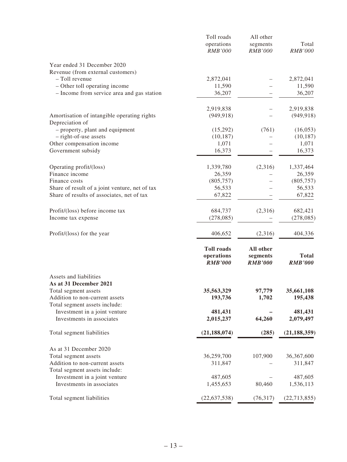|                                                | Toll roads                   | All other                  |                  |
|------------------------------------------------|------------------------------|----------------------------|------------------|
|                                                | operations<br><b>RMB'000</b> | segments<br><b>RMB'000</b> | Total<br>RMB'000 |
|                                                |                              |                            |                  |
| Year ended 31 December 2020                    |                              |                            |                  |
| Revenue (from external customers)              |                              |                            |                  |
| - Toll revenue                                 | 2,872,041                    |                            | 2,872,041        |
| - Other toll operating income                  | 11,590                       |                            | 11,590           |
| - Income from service area and gas station     | 36,207                       |                            | 36,207           |
|                                                | 2,919,838                    |                            | 2,919,838        |
| Amortisation of intangible operating rights    | (949, 918)                   |                            | (949, 918)       |
| Depreciation of                                |                              |                            |                  |
| - property, plant and equipment                | (15,292)                     | (761)                      | (16, 053)        |
| - right-of-use assets                          | (10, 187)                    |                            | (10, 187)        |
| Other compensation income                      | 1,071                        |                            | 1,071            |
| Government subsidy                             | 16,373                       |                            | 16,373           |
| Operating profit/(loss)                        | 1,339,780                    | (2,316)                    | 1,337,464        |
| Finance income                                 | 26,359                       |                            | 26,359           |
| Finance costs                                  | (805, 757)                   |                            | (805, 757)       |
| Share of result of a joint venture, net of tax | 56,533                       |                            | 56,533           |
| Share of results of associates, net of tax     | 67,822                       |                            | 67,822           |
| Profit/(loss) before income tax                | 684,737                      | (2,316)                    | 682,421          |
| Income tax expense                             | (278,085)                    |                            | (278, 085)       |
| Profit/(loss) for the year                     | 406,652                      | (2,316)                    | 404,336          |
|                                                | <b>Toll roads</b>            | All other                  |                  |
|                                                | operations                   | segments                   | <b>Total</b>     |
|                                                | <b>RMB'000</b>               | <b>RMB'000</b>             | <b>RMB'000</b>   |
| Assets and liabilities                         |                              |                            |                  |
| As at 31 December 2021                         |                              |                            |                  |
| Total segment assets                           | 35,563,329                   | 97,779                     | 35,661,108       |
| Addition to non-current assets                 | 193,736                      | 1,702                      | 195,438          |
| Total segment assets include:                  |                              |                            |                  |
| Investment in a joint venture                  | 481,431                      |                            | 481,431          |
| Investments in associates                      | 2,015,237                    | 64,260                     | 2,079,497        |
| Total segment liabilities                      | (21, 188, 074)               | (285)                      | (21, 188, 359)   |
| As at 31 December 2020                         |                              |                            |                  |
| Total segment assets                           | 36,259,700                   | 107,900                    | 36,367,600       |
| Addition to non-current assets                 | 311,847                      |                            | 311,847          |
| Total segment assets include:                  |                              |                            |                  |
| Investment in a joint venture                  | 487,605                      |                            | 487,605          |
| Investments in associates                      | 1,455,653                    | 80,460                     | 1,536,113        |
| Total segment liabilities                      | (22, 637, 538)               | (76,317)                   | (22, 713, 855)   |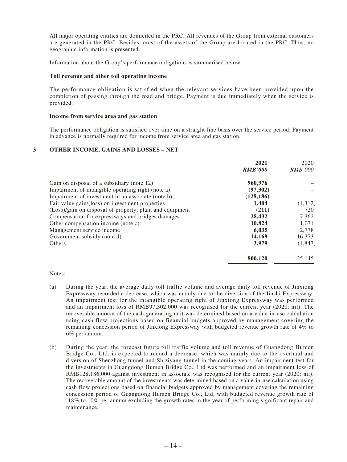All major operating entities are domiciled in the PRC. All revenues of the Group from external customers are generated in the PRC. Besides, most of the assets of the Group are located in the PRC. Thus, no geographic information is presented.

Information about the Group's performance obligations is summarised below:

#### **Toll revenue and other toll operating income**

The performance obligation is satisfied when the relevant services have been provided upon the completion of passing through the road and bridge. Payment is due immediately when the service is provided.

#### **Income from service area and gas station**

The performance obligation is satisfied over time on a straight-line basis over the service period. Payment in advance is normally required for income from service area and gas station.

#### **3 OTHER INCOME, GAINS AND LOSSES – NET**

|                                                          | 2021           | 2020           |
|----------------------------------------------------------|----------------|----------------|
|                                                          | <b>RMB'000</b> | <i>RMB'000</i> |
| Gain on disposal of a subsidiary (note 12)               | 960,976        |                |
| Impairment of intangible operating right (note a)        | (97,302)       |                |
| Impairment of investment in an associate (note b)        | (128, 186)     |                |
| Fair value gain/(loss) on investment properties          | 1,404          | (1,312)        |
| (Loss)/gain on disposal of property, plant and equipment | (211)          | 720            |
| Compensation for expressways and bridges damages         | 28,432         | 7,362          |
| Other compensation income (note c)                       | 10.824         | 1.071          |
| Management service income                                | 6,035          | 2,778          |
| Government subsidy (note d)                              | 14,169         | 16,373         |
| Others                                                   | 3,979          | (1,847)        |
|                                                          | 800,120        | 25,145         |

#### Notes:

- (a) During the year, the average daily toll traffic volume and average daily toll revenue of Jinxiong Expressway recorded a decrease, which was mainly due to the diversion of the Jinshi Expressway. An impairment test for the intangible operating right of Jinxiong Expressway was performed and an impairment loss of RMB97,302,000 was recognised for the current year (2020: nil). The recoverable amount of the cash-generating unit was determined based on a value-in-use calculation using cash flow projections based on financial budgets approved by management covering the remaining concession period of Jinxiong Expressway with budgeted revenue growth rate of 4% to 6% per annum.
- (b) During the year, the forecast future toll traffic volume and toll revenue of Guangdong Humen Bridge Co., Ltd. is expected to record a decrease, which was mainly due to the overhaul and diversion of Shenzhong tunnel and Shiziyang tunnel in the coming years. An impairment test for the investments in Guangdong Humen Bridge Co., Ltd was performed and an impairment loss of RMB128,186,000 against investment in associate was recognised for the current year (2020: nil). The recoverable amount of the investments was determined based on a value-in-use calculation using cash flow projections based on financial budgets approved by management covering the remaining concession period of Guangdong Humen Bridge Co., Ltd. with budgeted revenue growth rate of -18% to 10% per annum excluding the growth rates in the year of performing significant repair and maintenance.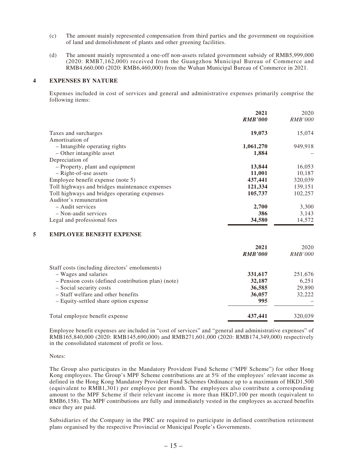- (c) The amount mainly represented compensation from third parties and the government on requisition of land and demolishment of plants and other greening facilities.
- (d) The amount mainly represented a one-off non-assets related government subsidy of RMB5,999,000 (2020: RMB7,162,000) received from the Guangzhou Municipal Bureau of Commerce and RMB4,660,000 (2020: RMB6,460,000) from the Wuhan Municipal Bureau of Commerce in 2021.

#### **4 EXPENSES BY NATURE**

Expenses included in cost of services and general and administrative expenses primarily comprise the following items:

|                                                | 2021           | 2020           |
|------------------------------------------------|----------------|----------------|
|                                                | <b>RMB'000</b> | <i>RMB'000</i> |
| Taxes and surcharges                           | 19,073         | 15,074         |
| Amortisation of                                |                |                |
| - Intangible operating rights                  | 1,061,270      | 949,918        |
| - Other intangible asset                       | 1,884          |                |
| Depreciation of                                |                |                |
| - Property, plant and equipment                | 13,844         | 16,053         |
| - Right-of-use assets                          | 11,001         | 10,187         |
| Employee benefit expense (note 5)              | 437,441        | 320,039        |
| Toll highways and bridges maintenance expenses | 121,334        | 139,151        |
| Toll highways and bridges operating expenses   | 105,737        | 102,257        |
| Auditor's remuneration                         |                |                |
| - Audit services                               | 2,700          | 3,300          |
| - Non-audit services                           | 386            | 3,143          |
| Legal and professional fees                    | 34,580         | 14,572         |

#### **5 EMPLOYEE BENEFIT EXPENSE**

|                                                    | 2021           | 2020           |
|----------------------------------------------------|----------------|----------------|
|                                                    | <b>RMB'000</b> | <i>RMB'000</i> |
| Staff costs (including directors' emoluments)      |                |                |
| - Wages and salaries                               | 331,617        | 251,676        |
| - Pension costs (defined contribution plan) (note) | 32,187         | 6,251          |
| - Social security costs                            | 36,585         | 29,890         |
| - Staff welfare and other benefits                 | 36,057         | 32,222         |
| - Equity-settled share option expense              | 995            |                |
| Total employee benefit expense                     | 437,441        | 320,039        |

Employee benefit expenses are included in "cost of services" and "general and administrative expenses" of RMB165,840,000 (2020: RMB145,690,000) and RMB271,601,000 (2020: RMB174,349,000) respectively in the consolidated statement of profit or loss.

#### Notes:

The Group also participates in the Mandatory Provident Fund Scheme ("MPF Scheme") for other Hong Kong employees. The Group's MPF Scheme contributions are at 5% of the employees' relevant income as defined in the Hong Kong Mandatory Provident Fund Schemes Ordinance up to a maximum of HKD1,500 (equivalent to RMB1,301) per employee per month. The employees also contribute a corresponding amount to the MPF Scheme if their relevant income is more than HKD7,100 per month (equivalent to RMB6,158). The MPF contributions are fully and immediately vested in the employees as accrued benefits once they are paid.

Subsidiaries of the Company in the PRC are required to participate in defined contribution retirement plans organised by the respective Provincial or Municipal People's Governments.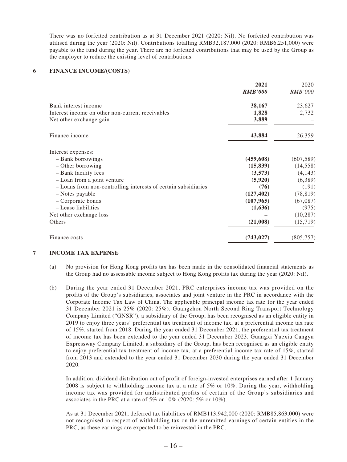There was no forfeited contribution as at 31 December 2021 (2020: Nil). No forfeited contribution was utilised during the year (2020: Nil). Contributions totalling RMB32,187,000 (2020: RMB6,251,000) were payable to the fund during the year. There are no forfeited contributions that may be used by the Group as the employer to reduce the existing level of contributions.

#### **6 FINANCE INCOME/(COSTS)**

|                                                                | 2021           | 2020       |
|----------------------------------------------------------------|----------------|------------|
|                                                                | <b>RMB'000</b> | RMB'000    |
| Bank interest income                                           | 38,167         | 23,627     |
| Interest income on other non-current receivables               | 1,828          | 2,732      |
| Net other exchange gain                                        | 3,889          |            |
| Finance income                                                 | 43,884         | 26,359     |
| Interest expenses:                                             |                |            |
| - Bank borrowings                                              | (459, 608)     | (607, 589) |
| $-$ Other borrowing                                            | (15, 839)      | (14, 558)  |
| - Bank facility fees                                           | (3,573)        | (4,143)    |
| - Loan from a joint venture                                    | (5,920)        | (6,389)    |
| - Loans from non-controlling interests of certain subsidiaries | (76)           | (191)      |
| - Notes payable                                                | (127, 402)     | (78, 819)  |
| - Corporate bonds                                              | (107, 965)     | (67,087)   |
| - Lease liabilities                                            | (1,636)        | (975)      |
| Net other exchange loss                                        |                | (10, 287)  |
| Others                                                         | (21,008)       | (15, 719)  |
| Finance costs                                                  | (743, 027)     | (805, 757) |

#### **7 INCOME TAX EXPENSE**

- (a) No provision for Hong Kong profits tax has been made in the consolidated financial statements as the Group had no assessable income subject to Hong Kong profits tax during the year (2020: Nil).
- (b) During the year ended 31 December 2021, PRC enterprises income tax was provided on the profits of the Group's subsidiaries, associates and joint venture in the PRC in accordance with the Corporate Income Tax Law of China. The applicable principal income tax rate for the year ended 31 December 2021 is 25% (2020: 25%). Guangzhou North Second Ring Transport Technology Company Limited ("GNSR"), a subsidiary of the Group, has been recognised as an eligible entity in 2019 to enjoy three years' preferential tax treatment of income tax, at a preferential income tax rate of 15%, started from 2018. During the year ended 31 December 2021, the preferential tax treatment of income tax has been extended to the year ended 31 December 2023. Guangxi Yuexiu Cangyu Expressway Company Limited, a subsidiary of the Group, has been recognised as an eligible entity to enjoy preferential tax treatment of income tax, at a preferential income tax rate of 15%, started from 2013 and extended to the year ended 31 December 2030 during the year ended 31 December 2020.

In addition, dividend distribution out of profit of foreign-invested enterprises earned after 1 January 2008 is subject to withholding income tax at a rate of 5% or 10%. During the year, withholding income tax was provided for undistributed profits of certain of the Group's subsidiaries and associates in the PRC at a rate of 5% or 10% (2020: 5% or 10%).

As at 31 December 2021, deferred tax liabilities of RMB113,942,000 (2020: RMB85,863,000) were not recognised in respect of withholding tax on the unremitted earnings of certain entities in the PRC, as these earnings are expected to be reinvested in the PRC.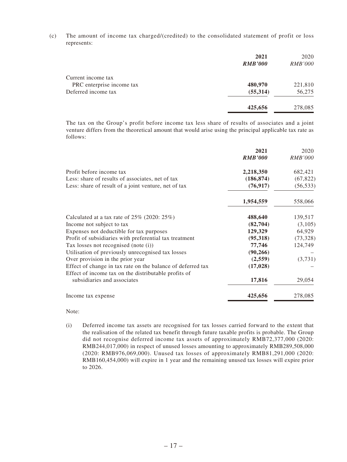(c) The amount of income tax charged/(credited) to the consolidated statement of profit or loss represents:

|                           | 2021           | 2020           |
|---------------------------|----------------|----------------|
|                           | <b>RMB'000</b> | <i>RMB'000</i> |
| Current income tax        |                |                |
| PRC enterprise income tax | 480,970        | 221,810        |
| Deferred income tax       | (55,314)       | 56,275         |
|                           | 425,656        | 278,085        |

The tax on the Group's profit before income tax less share of results of associates and a joint venture differs from the theoretical amount that would arise using the principal applicable tax rate as follows:

|                                                             | 2021           | 2020           |
|-------------------------------------------------------------|----------------|----------------|
|                                                             | <b>RMB'000</b> | <i>RMB'000</i> |
| Profit before income tax                                    | 2,218,350      | 682,421        |
| Less: share of results of associates, net of tax            | (186, 874)     | (67, 822)      |
| Less: share of result of a joint venture, net of tax        | (76, 917)      | (56, 533)      |
|                                                             | 1,954,559      | 558,066        |
| Calculated at a tax rate of $25\%$ (2020: 25%)              | 488,640        | 139,517        |
| Income not subject to tax                                   | (82,704)       | (3,105)        |
| Expenses not deductible for tax purposes                    | 129,329        | 64,929         |
| Profit of subsidiaries with preferential tax treatment      | (95,318)       | (73,328)       |
| Tax losses not recognised (note (i))                        | 77,746         | 124,749        |
| Utilisation of previously unrecognised tax losses           | (90, 266)      |                |
| Over provision in the prior year                            | (2,559)        | (3,731)        |
| Effect of change in tax rate on the balance of deferred tax | (17, 028)      |                |
| Effect of income tax on the distributable profits of        |                |                |
| subsidiaries and associates                                 | 17,816         | 29,054         |
| Income tax expense                                          | 425,656        | 278,085        |

Note:

(i) Deferred income tax assets are recognised for tax losses carried forward to the extent that the realisation of the related tax benefit through future taxable profits is probable. The Group did not recognise deferred income tax assets of approximately RMB72,377,000 (2020: RMB244,017,000) in respect of unused losses amounting to approximately RMB289,508,000 (2020: RMB976,069,000). Unused tax losses of approximately RMB81,291,000 (2020: RMB160,454,000) will expire in 1 year and the remaining unused tax losses will expire prior to 2026.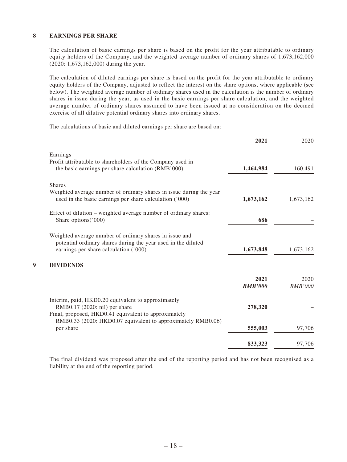#### **8 EARNINGS PER SHARE**

The calculation of basic earnings per share is based on the profit for the year attributable to ordinary equity holders of the Company, and the weighted average number of ordinary shares of 1,673,162,000 (2020: 1,673,162,000) during the year.

The calculation of diluted earnings per share is based on the profit for the year attributable to ordinary equity holders of the Company, adjusted to reflect the interest on the share options, where applicable (see below). The weighted average number of ordinary shares used in the calculation is the number of ordinary shares in issue during the year, as used in the basic earnings per share calculation, and the weighted average number of ordinary shares assumed to have been issued at no consideration on the deemed exercise of all dilutive potential ordinary shares into ordinary shares.

The calculations of basic and diluted earnings per share are based on:

|                                                                                                                     | 2021           | 2020           |
|---------------------------------------------------------------------------------------------------------------------|----------------|----------------|
| Earnings                                                                                                            |                |                |
| Profit attributable to shareholders of the Company used in                                                          |                |                |
| the basic earnings per share calculation (RMB'000)                                                                  | 1,464,984      | 160,491        |
| <b>Shares</b>                                                                                                       |                |                |
| Weighted average number of ordinary shares in issue during the year                                                 |                |                |
| used in the basic earnings per share calculation ('000)                                                             | 1,673,162      | 1,673,162      |
| Effect of dilution – weighted average number of ordinary shares:                                                    |                |                |
| Share options('000)                                                                                                 | 686            |                |
| Weighted average number of ordinary shares in issue and                                                             |                |                |
| potential ordinary shares during the year used in the diluted                                                       |                |                |
| earnings per share calculation ('000)                                                                               | 1,673,848      | 1,673,162      |
| <b>DIVIDENDS</b>                                                                                                    |                |                |
|                                                                                                                     | 2021           | 2020           |
|                                                                                                                     | <b>RMB'000</b> | <b>RMB'000</b> |
| Interim, paid, HKD0.20 equivalent to approximately                                                                  |                |                |
| RMB0.17 (2020: nil) per share                                                                                       | 278,320        |                |
| Final, proposed, HKD0.41 equivalent to approximately<br>RMB0.33 (2020: HKD0.07 equivalent to approximately RMB0.06) |                |                |
| per share                                                                                                           | 555,003        | 97,706         |
|                                                                                                                     | 833,323        | 97,706         |
|                                                                                                                     |                |                |

The final dividend was proposed after the end of the reporting period and has not been recognised as a liability at the end of the reporting period.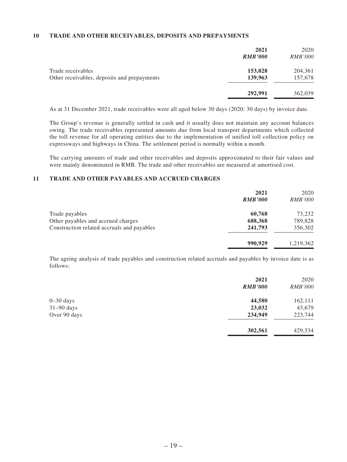#### **10 TRADE AND OTHER RECEIVABLES, DEPOSITS AND PREPAYMENTS**

|                                             | 2021<br><b>RMB'000</b> | 2020<br><b>RMB'000</b> |
|---------------------------------------------|------------------------|------------------------|
| Trade receivables                           | 153,028                | 204,361                |
| Other receivables, deposits and prepayments | 139,963                | 157,678                |
|                                             | 292,991                | 362,039                |

As at 31 December 2021, trade receivables were all aged below 30 days (2020: 30 days) by invoice date.

The Group's revenue is generally settled in cash and it usually does not maintain any account balances owing. The trade receivables represented amounts due from local transport departments which collected the toll revenue for all operating entities due to the implementation of unified toll collection policy on expressways and highways in China. The settlement period is normally within a month.

The carrying amounts of trade and other receivables and deposits approximated to their fair values and were mainly denominated in RMB. The trade and other receivables are measured at amortised cost.

#### **11 TRADE AND OTHER PAYABLES AND ACCRUED CHARGES**

|                                            | 2021<br><b>RMB'000</b> | 2020<br><i>RMB'000</i> |
|--------------------------------------------|------------------------|------------------------|
| Trade payables                             | 60,768                 | 73,232                 |
| Other payables and accrued charges         | 688,368                | 789,828                |
| Construction related accruals and payables | 241,793                | 356,302                |
|                                            | 990,929                | 1,219,362              |

The ageing analysis of trade payables and construction related accruals and payables by invoice date is as follows:

|               | 2021           | 2020           |
|---------------|----------------|----------------|
|               | <b>RMB'000</b> | <b>RMB'000</b> |
| $0 - 30$ days | 44,580         | 162,111        |
| $31-90$ days  | 23,032         | 43,679         |
| Over 90 days  | 234,949        | 223,744        |
|               | 302,561        | 429,534        |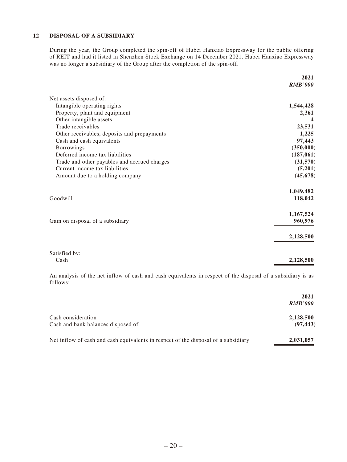#### **12 DISPOSAL OF A SUBSIDIARY**

During the year, the Group completed the spin-off of Hubei Hanxiao Expressway for the public offering of REIT and had it listed in Shenzhen Stock Exchange on 14 December 2021. Hubei Hanxiao Expressway was no longer a subsidiary of the Group after the completion of the spin-off.

|                                              | 2021<br><b>RMB'000</b> |
|----------------------------------------------|------------------------|
| Net assets disposed of:                      |                        |
| Intangible operating rights                  | 1,544,428              |
| Property, plant and equipment                | 2,361                  |
| Other intangible assets                      |                        |
| Trade receivables                            | 23,531                 |
| Other receivables, deposits and prepayments  | 1,225                  |
| Cash and cash equivalents                    | 97,443                 |
| <b>Borrowings</b>                            | (350,000)              |
| Deferred income tax liabilities              | (187, 061)             |
| Trade and other payables and accrued charges | (31,570)               |
| Current income tax liabilities               | (5,201)                |
| Amount due to a holding company              | (45, 678)              |
|                                              | 1,049,482              |
| Goodwill                                     | 118,042                |
|                                              | 1,167,524              |
| Gain on disposal of a subsidiary             | 960,976                |
|                                              | 2,128,500              |
| Satisfied by:                                |                        |
| Cash                                         | 2,128,500              |

An analysis of the net inflow of cash and cash equivalents in respect of the disposal of a subsidiary is as follows:

|                                                                                    | 2021<br><b>RMB'000</b> |
|------------------------------------------------------------------------------------|------------------------|
| Cash consideration<br>Cash and bank balances disposed of                           | 2,128,500<br>(97, 443) |
| Net inflow of cash and cash equivalents in respect of the disposal of a subsidiary | 2,031,057              |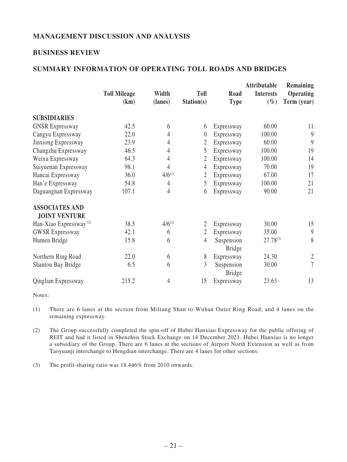# **MANAGEMENT DISCUSSION AND ANALYSIS**

#### **BUSINESS REVIEW**

# **SUMMARY INFORMATION OF OPERATING TOLL ROADS AND BRIDGES**

|                                    | <b>Toll Mileage</b> | Width       | <b>Toll</b>    | Road          | Attributable<br><b>Interests</b> | Remaining<br>Operating |
|------------------------------------|---------------------|-------------|----------------|---------------|----------------------------------|------------------------|
|                                    | (km)                | (lanes)     | Station(s)     | <b>Type</b>   | $(\%)$                           | Term (year)            |
| <b>SUBSIDIARIES</b>                |                     |             |                |               |                                  |                        |
| <b>GNSR Expressway</b>             | 42.5                | 6           | 6              | Expressway    | 60.00                            | 11                     |
| Cangyu Expressway                  | 22.0                | 4           | $\theta$       | Expressway    | 100.00                           | 9                      |
| Jinxiong Expressway                | 23.9                | 4           | 2              | Expressway    | 60.00                            | 9                      |
| Changzhu Expressway                | 46.5                | 4           | 5              | Expressway    | 100.00                           | 19                     |
| Weixu Expressway                   | 64.3                | 4           | 2              | Expressway    | 100.00                           | 14                     |
| Suiyuenan Expressway               | 98.1                | 4           | $\overline{4}$ | Expressway    | 70.00                            | 19                     |
| Hancai Expressway                  | 36.0                | $4/6^{(1)}$ | 2              | Expressway    | 67.00                            | 17                     |
| Han'e Expressway                   | 54.8                | 4           | 5              | Expressway    | 100.00                           | 21                     |
| Daguangnan Expressway              | 107.1               | 4           | 6              | Expressway    | 90.00                            | 21                     |
| <b>ASSOCIATES AND</b>              |                     |             |                |               |                                  |                        |
| <b>JOINT VENTURE</b>               |                     |             |                |               |                                  |                        |
| Han-Xiao Expressway <sup>(2)</sup> | 38.5                | $4/6^{(2)}$ | $\overline{2}$ | Expressway    | 30.00                            | 15                     |
| <b>GWSR Expressway</b>             | 42.1                | 6           | $\overline{2}$ | Expressway    | 35.00                            | $\boldsymbol{9}$       |
| Humen Bridge                       | 15.8                | 6           | $\overline{4}$ | Suspension    | $27.78^{(3)}$                    | 8                      |
|                                    |                     |             |                | <b>Bridge</b> |                                  |                        |
| Northern Ring Road                 | 22.0                | 6           | 8              | Expressway    | 24.30                            | $\sqrt{2}$             |
| Shantou Bay Bridge                 | 6.5                 | 6           | 3              | Suspension    | 30.00                            | $\tau$                 |
|                                    |                     |             |                | <b>Bridge</b> |                                  |                        |
| Qinglian Expressway                | 215.2               | 4           | 15             | Expressway    | 23.63                            | 13                     |

Notes:

(1) There are 6 lanes at the section from Miliang Shan to Wuhan Outer Ring Road, and 4 lanes on the remaining expressway.

(2) The Group successfully completed the spin-off of Hubei Hanxiao Expressway for the public offering of REIT and had it listed in Shenzhen Stock Exchange on 14 December 2021. Hubei Hanxiao is no longer a subsidiary of the Group. There are 6 lanes at the sections of Airport North Extension as well as from Taoyuanji interchange to Hengdian interchange. There are 4 lanes for other sections.

(3) The profit-sharing ratio was 18.446% from 2010 onwards.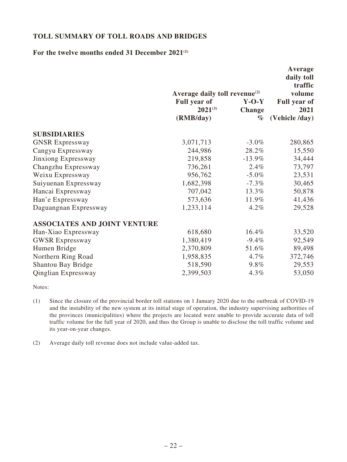# **TOLL SUMMARY OF TOLL ROADS AND BRIDGES**

#### For the twelve months ended 31 December 2021<sup>(1)</sup>

|                                     |                                                                                               |                                  | Average<br>daily toll<br>traffic                        |
|-------------------------------------|-----------------------------------------------------------------------------------------------|----------------------------------|---------------------------------------------------------|
|                                     | Average daily toll revenue <sup>(2)</sup><br><b>Full year of</b><br>$2021^{(3)}$<br>(RMB/day) | $Y-O-Y$<br><b>Change</b><br>$\%$ | volume<br><b>Full year of</b><br>2021<br>(Vehicle /day) |
| <b>SUBSIDIARIES</b>                 |                                                                                               |                                  |                                                         |
| <b>GNSR Expressway</b>              | 3,071,713                                                                                     | $-3.0\%$                         | 280,865                                                 |
| Cangyu Expressway                   | 244,986                                                                                       | 28.2%                            | 15,550                                                  |
| Jinxiong Expressway                 | 219,858                                                                                       | $-13.9\%$                        | 34,444                                                  |
| Changzhu Expressway                 | 736,261                                                                                       | $2.4\%$                          | 73,797                                                  |
| Weixu Expressway                    | 956,762                                                                                       | $-5.0\%$                         | 23,531                                                  |
| Suiyuenan Expressway                | 1,682,398                                                                                     | $-7.3\%$                         | 30,465                                                  |
| Hancai Expressway                   | 707,042                                                                                       | 13.3%                            | 50,878                                                  |
| Han'e Expressway                    | 573,636                                                                                       | 11.9%                            | 41,436                                                  |
| Daguangnan Expressway               | 1,233,114                                                                                     | $4.2\%$                          | 29,528                                                  |
| <b>ASSOCIATES AND JOINT VENTURE</b> |                                                                                               |                                  |                                                         |
| Han-Xiao Expressway                 | 618,680                                                                                       | 16.4%                            | 33,520                                                  |
| <b>GWSR Expressway</b>              | 1,380,419                                                                                     | $-9.4\%$                         | 92,549                                                  |
| Humen Bridge                        | 2,370,809                                                                                     | 51.6%                            | 89,498                                                  |
| Northern Ring Road                  | 1,958,835                                                                                     | $4.7\%$                          | 372,746                                                 |
| Shantou Bay Bridge                  | 518,590                                                                                       | $9.8\%$                          | 29,553                                                  |
| <b>Qinglian Expressway</b>          | 2,399,503                                                                                     | 4.3%                             | 53,050                                                  |

Notes:

- (1) Since the closure of the provincial border toll stations on 1 January 2020 due to the outbreak of COVID-19 and the instability of the new system at its initial stage of operation, the industry supervising authorities of the provinces (municipalities) where the projects are located were unable to provide accurate data of toll traffic volume for the full year of 2020, and thus the Group is unable to disclose the toll traffic volume and its year-on-year changes.
- (2) Average daily toll revenue does not include value-added tax.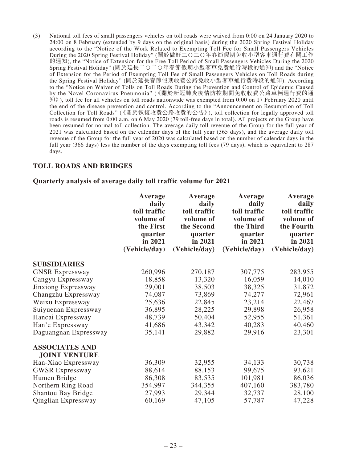(3) National toll fees of small passengers vehicles on toll roads were waived from 0:00 on 24 January 2020 to 24:00 on 8 February (extended by 9 days on the original basis) during the 2020 Spring Festival Holiday according to the "Notice of the Work Related to Exempting Toll Fee for Small Passengers Vehicles During the 2020 Spring Festival Holiday" (關於做好二○二○年春節假期免收小型客車通行費有關工作 的通知), the "Notice of Extension for the Free Toll Period of Small Passengers Vehicles During the 2020 Spring Festival Holiday" (關於延長二○二○年春節假期小型客車免費通行時段的通知) and the "Notice of Extension for the Period of Exempting Toll Fee of Small Passengers Vehicles on Toll Roads during the Spring Festival Holiday" (關於延長春節假期收費公路免收小型客車通行費時段的通知). According to the "Notice on Waiver of Tolls on Toll Roads During the Prevention and Control of Epidemic Caused by the Novel Coronavirus Pneumonia" (《關於新冠肺炎疫情防控期間免收收費公路車輛通行費的通 知》), toll fee for all vehicles on toll roads nationwide was exempted from 0:00 on 17 February 2020 until the end of the disease prevention and control. According to the "Announcement on Resumption of Toll Collection for Toll Roads" (《關於恢復收費公路收費的公告》), toll collection for legally approved toll roads is resumed from 0:00 a.m. on 6 May 2020 (79 toll-free days in total). All projects of the Group have been resumed for normal toll collection. The average daily toll revenue of the Group for the full year of 2021 was calculated based on the calendar days of the full year (365 days), and the average daily toll revenue of the Group for the full year of 2020 was calculated based on the number of calendar days in the full year (366 days) less the number of the days exempting toll fees (79 days), which is equivalent to 287 days.

#### **TOLL ROADS AND BRIDGES**

#### **Quarterly analysis of average daily toll traffic volume for 2021**

|                                               | Average<br>daily<br>toll traffic<br>volume of<br>the First<br>quarter<br>in 2021<br>(Vehicle/day) | Average<br>daily<br>toll traffic<br>volume of<br>the Second<br>quarter<br>in 2021<br>(Vehicle/day) | Average<br>daily<br>toll traffic<br>volume of<br>the Third<br>quarter<br>in 2021<br>(Vehicle/day) | Average<br>daily<br>toll traffic<br>volume of<br>the Fourth<br>quarter<br>in 2021<br>(Vehicle/day) |
|-----------------------------------------------|---------------------------------------------------------------------------------------------------|----------------------------------------------------------------------------------------------------|---------------------------------------------------------------------------------------------------|----------------------------------------------------------------------------------------------------|
| <b>SUBSIDIARIES</b>                           |                                                                                                   |                                                                                                    |                                                                                                   |                                                                                                    |
| <b>GNSR Expressway</b>                        | 260,996                                                                                           | 270,187                                                                                            | 307,775                                                                                           | 283,955                                                                                            |
| Cangyu Expressway                             | 18,858                                                                                            | 13,320                                                                                             | 16,059                                                                                            | 14,010                                                                                             |
| Jinxiong Expressway                           | 29,001                                                                                            | 38,503                                                                                             | 38,325                                                                                            | 31,872                                                                                             |
| Changzhu Expressway                           | 74,087                                                                                            | 73,869                                                                                             | 74,277                                                                                            | 72,961                                                                                             |
| Weixu Expressway                              | 25,636                                                                                            | 22,845                                                                                             | 23,214                                                                                            | 22,467                                                                                             |
| Suiyuenan Expressway                          | 36,895                                                                                            | 28,225                                                                                             | 29,898                                                                                            | 26,958                                                                                             |
| Hancai Expressway                             | 48,739                                                                                            | 50,404                                                                                             | 52,955                                                                                            | 51,361                                                                                             |
| Han'e Expressway                              | 41,686                                                                                            | 43,342                                                                                             | 40,283                                                                                            | 40,460                                                                                             |
| Daguangnan Expressway                         | 35,141                                                                                            | 29,882                                                                                             | 29,916                                                                                            | 23,301                                                                                             |
| <b>ASSOCIATES AND</b><br><b>JOINT VENTURE</b> |                                                                                                   |                                                                                                    |                                                                                                   |                                                                                                    |
| Han-Xiao Expressway                           | 36,309                                                                                            | 32,955                                                                                             | 34,133                                                                                            | 30,738                                                                                             |
| <b>GWSR Expressway</b>                        | 88,614                                                                                            | 88,153                                                                                             | 99,675                                                                                            | 93,621                                                                                             |
| Humen Bridge                                  | 86,308                                                                                            | 83,535                                                                                             | 101,981                                                                                           | 86,036                                                                                             |
| Northern Ring Road                            | 354,997                                                                                           | 344,355                                                                                            | 407,160                                                                                           | 383,780                                                                                            |
| Shantou Bay Bridge                            | 27,993                                                                                            | 29,344                                                                                             | 32,737                                                                                            | 28,100                                                                                             |
| Qinglian Expressway                           | 60,169                                                                                            | 47,105                                                                                             | 57,787                                                                                            | 47,228                                                                                             |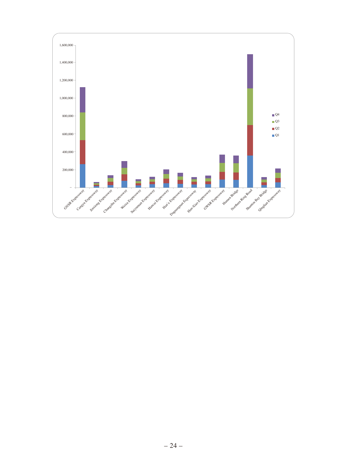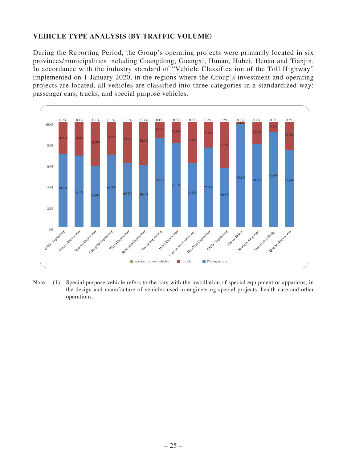# **VEHICLE TYPE ANALYSIS (BY TRAFFIC VOLUME)**

During the Reporting Period, the Group's operating projects were primarily located in six provinces/municipalities including Guangdong, Guangxi, Hunan, Hubei, Henan and Tianjin. In accordance with the industry standard of "Vehicle Classification of the Toll Highway" implemented on 1 January 2020, in the regions where the Group's investment and operating projects are located, all vehicles are classified into three categories in a standardized way: passenger cars, trucks, and special purpose vehicles.



Note: (1) Special purpose vehicle refers to the cars with the installation of special equipment or apparatus, in the design and manufacture of vehicles used in engineering special projects, health care and other operations.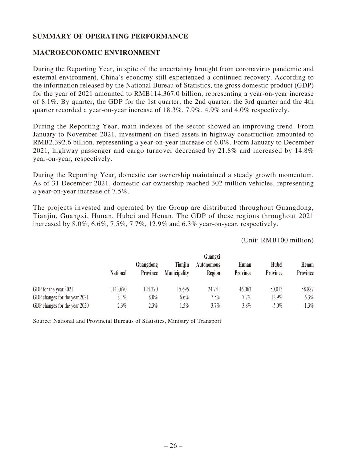# **SUMMARY OF OPERATING PERFORMANCE**

## **MACROECONOMIC ENVIRONMENT**

During the Reporting Year, in spite of the uncertainty brought from coronavirus pandemic and external environment, China's economy still experienced a continued recovery. According to the information released by the National Bureau of Statistics, the gross domestic product (GDP) for the year of 2021 amounted to RMB114,367.0 billion, representing a year-on-year increase of 8.1%. By quarter, the GDP for the 1st quarter, the 2nd quarter, the 3rd quarter and the 4th quarter recorded a year-on-year increase of 18.3%, 7.9%, 4.9% and 4.0% respectively.

During the Reporting Year, main indexes of the sector showed an improving trend. From January to November 2021, investment on fixed assets in highway construction amounted to RMB2,392.6 billion, representing a year-on-year increase of 6.0%. Form January to December 2021, highway passenger and cargo turnover decreased by 21.8% and increased by 14.8% year-on-year, respectively.

During the Reporting Year, domestic car ownership maintained a steady growth momentum. As of 31 December 2021, domestic car ownership reached 302 million vehicles, representing a year-on-year increase of 7.5%.

The projects invested and operated by the Group are distributed throughout Guangdong, Tianjin, Guangxi, Hunan, Hubei and Henan. The GDP of these regions throughout 2021 increased by 8.0%, 6.6%, 7.5%, 7.7%, 12.9% and 6.3% year-on-year, respectively.

#### (Unit: RMB100 million)

|                               | Guangxi         |                       |                                |                             |                   |                   |                   |
|-------------------------------|-----------------|-----------------------|--------------------------------|-----------------------------|-------------------|-------------------|-------------------|
|                               | <b>National</b> | Guangdong<br>Province | Tianjin<br><b>Municipality</b> | <b>Autonomous</b><br>Region | Hunan<br>Province | Hubei<br>Province | Henan<br>Province |
| GDP for the year 2021         | 1,143,670       | 124,370               | 15.695                         | 24,741                      | 46,063            | 50,013            | 58,887            |
| GDP changes for the year 2021 | $8.1\%$         | 8.0%                  | 6.6%                           | $7.5\%$                     | 7.7%              | 12.9%             | 6.3%              |
| GDP changes for the year 2020 | 2.3%            | 2.3%                  | $.5\%$                         | 3.7%                        | 3.8%              | $-5.0\%$          | $1.3\%$           |

Source: National and Provincial Bureaus of Statistics, Ministry of Transport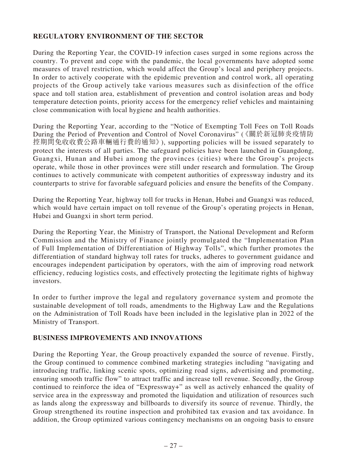# **REGULATORY ENVIRONMENT OF THE SECTOR**

During the Reporting Year, the COVID-19 infection cases surged in some regions across the country. To prevent and cope with the pandemic, the local governments have adopted some measures of travel restriction, which would affect the Group's local and periphery projects. In order to actively cooperate with the epidemic prevention and control work, all operating projects of the Group actively take various measures such as disinfection of the office space and toll station area, establishment of prevention and control isolation areas and body temperature detection points, priority access for the emergency relief vehicles and maintaining close communication with local hygiene and health authorities.

During the Reporting Year, according to the "Notice of Exempting Toll Fees on Toll Roads During the Period of Prevention and Control of Novel Coronavirus" (《關於新冠肺炎疫情防 控期間免收收費公路車輛通行費的通知》), supporting policies will be issued separately to protect the interests of all parties. The safeguard policies have been launched in Guangdong, Guangxi, Hunan and Hubei among the provinces (cities) where the Group's projects operate, while those in other provinces were still under research and formulation. The Group continues to actively communicate with competent authorities of expressway industry and its counterparts to strive for favorable safeguard policies and ensure the benefits of the Company.

During the Reporting Year, highway toll for trucks in Henan, Hubei and Guangxi was reduced, which would have certain impact on toll revenue of the Group's operating projects in Henan, Hubei and Guangxi in short term period.

During the Reporting Year, the Ministry of Transport, the National Development and Reform Commission and the Ministry of Finance jointly promulgated the "Implementation Plan of Full Implementation of Differentiation of Highway Tolls", which further promotes the differentiation of standard highway toll rates for trucks, adheres to government guidance and encourages independent participation by operators, with the aim of improving road network efficiency, reducing logistics costs, and effectively protecting the legitimate rights of highway investors.

In order to further improve the legal and regulatory governance system and promote the sustainable development of toll roads, amendments to the Highway Law and the Regulations on the Administration of Toll Roads have been included in the legislative plan in 2022 of the Ministry of Transport.

# **BUSINESS IMPROVEMENTS AND INNOVATIONS**

During the Reporting Year, the Group proactively expanded the source of revenue. Firstly, the Group continued to commence combined marketing strategies including "navigating and introducing traffic, linking scenic spots, optimizing road signs, advertising and promoting, ensuring smooth traffic flow" to attract traffic and increase toll revenue. Secondly, the Group continued to reinforce the idea of "Expressway+" as well as actively enhanced the quality of service area in the expressway and promoted the liquidation and utilization of resources such as lands along the expressway and billboards to diversify its source of revenue. Thirdly, the Group strengthened its routine inspection and prohibited tax evasion and tax avoidance. In addition, the Group optimized various contingency mechanisms on an ongoing basis to ensure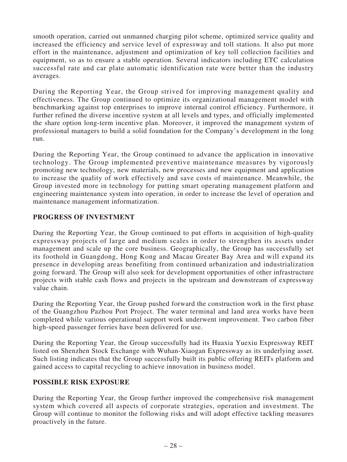smooth operation, carried out unmanned charging pilot scheme, optimized service quality and increased the efficiency and service level of expressway and toll stations. It also put more effort in the maintenance, adjustment and optimization of key toll collection facilities and equipment, so as to ensure a stable operation. Several indicators including ETC calculation successful rate and car plate automatic identification rate were better than the industry averages.

During the Reporting Year, the Group strived for improving management quality and effectiveness. The Group continued to optimize its organizational management model with benchmarking against top enterprises to improve internal control efficiency. Furthermore, it further refined the diverse incentive system at all levels and types, and officially implemented the share option long-term incentive plan. Moreover, it improved the management system of professional managers to build a solid foundation for the Company's development in the long run.

During the Reporting Year, the Group continued to advance the application in innovative technology. The Group implemented preventive maintenance measures by vigorously promoting new technology, new materials, new processes and new equipment and application to increase the quality of work effectively and save costs of maintenance. Meanwhile, the Group invested more in technology for putting smart operating management platform and engineering maintenance system into operation, in order to increase the level of operation and maintenance management informatization.

# **PROGRESS OF INVESTMENT**

During the Reporting Year, the Group continued to put efforts in acquisition of high-quality expressway projects of large and medium scales in order to strengthen its assets under management and scale up the core business. Geographically, the Group has successfully set its foothold in Guangdong, Hong Kong and Macau Greater Bay Area and will expand its presence in developing areas benefiting from continued urbanization and industrialization going forward. The Group will also seek for development opportunities of other infrastructure projects with stable cash flows and projects in the upstream and downstream of expressway value chain.

During the Reporting Year, the Group pushed forward the construction work in the first phase of the Guangzhou Pazhou Port Project. The water terminal and land area works have been completed while various operational support work underwent improvement. Two carbon fiber high-speed passenger ferries have been delivered for use.

During the Reporting Year, the Group successfully had its Huaxia Yuexiu Expressway REIT listed on Shenzhen Stock Exchange with Wuhan-Xiaogan Expressway as its underlying asset. Such listing indicates that the Group successfully built its public offering REITs platform and gained access to capital recycling to achieve innovation in business model.

# **POSSIBLE RISK EXPOSURE**

During the Reporting Year, the Group further improved the comprehensive risk management system which covered all aspects of corporate strategies, operation and investment. The Group will continue to monitor the following risks and will adopt effective tackling measures proactively in the future.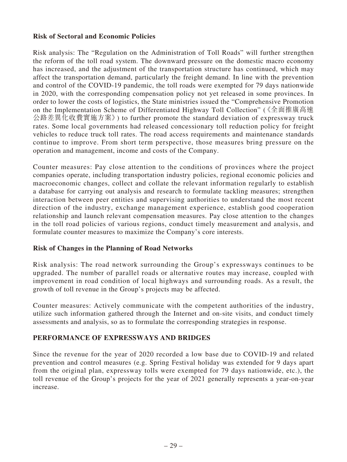## **Risk of Sectoral and Economic Policies**

Risk analysis: The "Regulation on the Administration of Toll Roads" will further strengthen the reform of the toll road system. The downward pressure on the domestic macro economy has increased, and the adjustment of the transportation structure has continued, which may affect the transportation demand, particularly the freight demand. In line with the prevention and control of the COVID-19 pandemic, the toll roads were exempted for 79 days nationwide in 2020, with the corresponding compensation policy not yet released in some provinces. In order to lower the costs of logistics, the State ministries issued the "Comprehensive Promotion on the Implementation Scheme of Differentiated Highway Toll Collection" (《全面推廣高速 公路差異化收費實施方案》) to further promote the standard deviation of expressway truck rates. Some local governments had released concessionary toll reduction policy for freight vehicles to reduce truck toll rates. The road access requirements and maintenance standards continue to improve. From short term perspective, those measures bring pressure on the operation and management, income and costs of the Company.

Counter measures: Pay close attention to the conditions of provinces where the project companies operate, including transportation industry policies, regional economic policies and macroeconomic changes, collect and collate the relevant information regularly to establish a database for carrying out analysis and research to formulate tackling measures; strengthen interaction between peer entities and supervising authorities to understand the most recent direction of the industry, exchange management experience, establish good cooperation relationship and launch relevant compensation measures. Pay close attention to the changes in the toll road policies of various regions, conduct timely measurement and analysis, and formulate counter measures to maximize the Company's core interests.

# **Risk of Changes in the Planning of Road Networks**

Risk analysis: The road network surrounding the Group's expressways continues to be upgraded. The number of parallel roads or alternative routes may increase, coupled with improvement in road condition of local highways and surrounding roads. As a result, the growth of toll revenue in the Group's projects may be affected.

Counter measures: Actively communicate with the competent authorities of the industry, utilize such information gathered through the Internet and on-site visits, and conduct timely assessments and analysis, so as to formulate the corresponding strategies in response.

# **PERFORMANCE OF EXPRESSWAYS AND BRIDGES**

Since the revenue for the year of 2020 recorded a low base due to COVID-19 and related prevention and control measures (e.g. Spring Festival holiday was extended for 9 days apart from the original plan, expressway tolls were exempted for 79 days nationwide, etc.), the toll revenue of the Group's projects for the year of 2021 generally represents a year-on-year increase.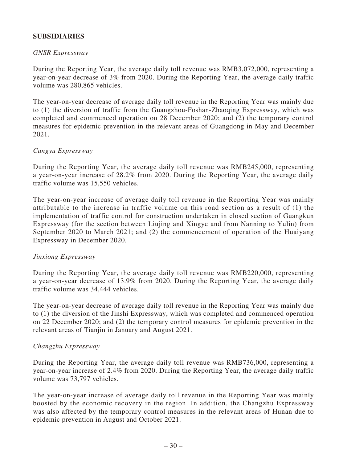# **SUBSIDIARIES**

### *GNSR Expressway*

During the Reporting Year, the average daily toll revenue was RMB3,072,000, representing a year-on-year decrease of 3% from 2020. During the Reporting Year, the average daily traffic volume was 280,865 vehicles.

The year-on-year decrease of average daily toll revenue in the Reporting Year was mainly due to (1) the diversion of traffic from the Guangzhou-Foshan-Zhaoqing Expressway, which was completed and commenced operation on 28 December 2020; and (2) the temporary control measures for epidemic prevention in the relevant areas of Guangdong in May and December 2021.

### *Cangyu Expressway*

During the Reporting Year, the average daily toll revenue was RMB245,000, representing a year-on-year increase of 28.2% from 2020. During the Reporting Year, the average daily traffic volume was 15,550 vehicles.

The year-on-year increase of average daily toll revenue in the Reporting Year was mainly attributable to the increase in traffic volume on this road section as a result of (1) the implementation of traffic control for construction undertaken in closed section of Guangkun Expressway (for the section between Liujing and Xingye and from Nanning to Yulin) from September 2020 to March 2021; and (2) the commencement of operation of the Huaiyang Expressway in December 2020.

#### *Jinxiong Expressway*

During the Reporting Year, the average daily toll revenue was RMB220,000, representing a year-on-year decrease of 13.9% from 2020. During the Reporting Year, the average daily traffic volume was 34,444 vehicles.

The year-on-year decrease of average daily toll revenue in the Reporting Year was mainly due to (1) the diversion of the Jinshi Expressway, which was completed and commenced operation on 22 December 2020; and (2) the temporary control measures for epidemic prevention in the relevant areas of Tianjin in January and August 2021.

#### *Changzhu Expressway*

During the Reporting Year, the average daily toll revenue was RMB736,000, representing a year-on-year increase of 2.4% from 2020. During the Reporting Year, the average daily traffic volume was 73,797 vehicles.

The year-on-year increase of average daily toll revenue in the Reporting Year was mainly boosted by the economic recovery in the region. In addition, the Changzhu Expressway was also affected by the temporary control measures in the relevant areas of Hunan due to epidemic prevention in August and October 2021.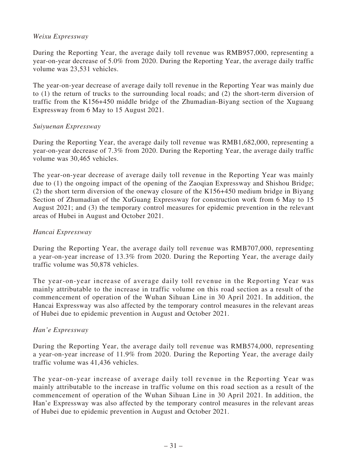# *Weixu Expressway*

During the Reporting Year, the average daily toll revenue was RMB957,000, representing a year-on-year decrease of 5.0% from 2020. During the Reporting Year, the average daily traffic volume was 23,531 vehicles.

The year-on-year decrease of average daily toll revenue in the Reporting Year was mainly due to (1) the return of trucks to the surrounding local roads; and (2) the short-term diversion of traffic from the K156+450 middle bridge of the Zhumadian-Biyang section of the Xuguang Expressway from 6 May to 15 August 2021.

### *Suiyuenan Expressway*

During the Reporting Year, the average daily toll revenue was RMB1,682,000, representing a year-on-year decrease of 7.3% from 2020. During the Reporting Year, the average daily traffic volume was 30,465 vehicles.

The year-on-year decrease of average daily toll revenue in the Reporting Year was mainly due to (1) the ongoing impact of the opening of the Zaoqian Expressway and Shishou Bridge; (2) the short term diversion of the oneway closure of the K156+450 medium bridge in Biyang Section of Zhumadian of the XuGuang Expressway for construction work from 6 May to 15 August 2021; and (3) the temporary control measures for epidemic prevention in the relevant areas of Hubei in August and October 2021.

#### *Hancai Expressway*

During the Reporting Year, the average daily toll revenue was RMB707,000, representing a year-on-year increase of 13.3% from 2020. During the Reporting Year, the average daily traffic volume was 50,878 vehicles.

The year-on-year increase of average daily toll revenue in the Reporting Year was mainly attributable to the increase in traffic volume on this road section as a result of the commencement of operation of the Wuhan Sihuan Line in 30 April 2021. In addition, the Hancai Expressway was also affected by the temporary control measures in the relevant areas of Hubei due to epidemic prevention in August and October 2021.

#### *Han'e Expressway*

During the Reporting Year, the average daily toll revenue was RMB574,000, representing a year-on-year increase of 11.9% from 2020. During the Reporting Year, the average daily traffic volume was 41,436 vehicles.

The year-on-year increase of average daily toll revenue in the Reporting Year was mainly attributable to the increase in traffic volume on this road section as a result of the commencement of operation of the Wuhan Sihuan Line in 30 April 2021. In addition, the Han'e Expressway was also affected by the temporary control measures in the relevant areas of Hubei due to epidemic prevention in August and October 2021.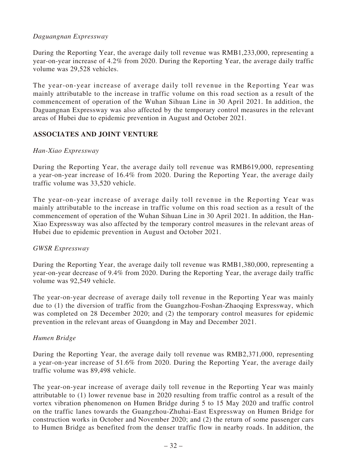# *Daguangnan Expressway*

During the Reporting Year, the average daily toll revenue was RMB1,233,000, representing a year-on-year increase of 4.2% from 2020. During the Reporting Year, the average daily traffic volume was 29,528 vehicles.

The year-on-year increase of average daily toll revenue in the Reporting Year was mainly attributable to the increase in traffic volume on this road section as a result of the commencement of operation of the Wuhan Sihuan Line in 30 April 2021. In addition, the Daguangnan Expressway was also affected by the temporary control measures in the relevant areas of Hubei due to epidemic prevention in August and October 2021.

# **ASSOCIATES AND JOINT VENTURE**

# *Han-Xiao Expressway*

During the Reporting Year, the average daily toll revenue was RMB619,000, representing a year-on-year increase of 16.4% from 2020. During the Reporting Year, the average daily traffic volume was 33,520 vehicle.

The year-on-year increase of average daily toll revenue in the Reporting Year was mainly attributable to the increase in traffic volume on this road section as a result of the commencement of operation of the Wuhan Sihuan Line in 30 April 2021. In addition, the Han-Xiao Expressway was also affected by the temporary control measures in the relevant areas of Hubei due to epidemic prevention in August and October 2021.

# *GWSR Expressway*

During the Reporting Year, the average daily toll revenue was RMB1,380,000, representing a year-on-year decrease of 9.4% from 2020. During the Reporting Year, the average daily traffic volume was 92,549 vehicle.

The year-on-year decrease of average daily toll revenue in the Reporting Year was mainly due to (1) the diversion of traffic from the Guangzhou-Foshan-Zhaoqing Expressway, which was completed on 28 December 2020; and (2) the temporary control measures for epidemic prevention in the relevant areas of Guangdong in May and December 2021.

# *Humen Bridge*

During the Reporting Year, the average daily toll revenue was RMB2,371,000, representing a year-on-year increase of 51.6% from 2020. During the Reporting Year, the average daily traffic volume was 89,498 vehicle.

The year-on-year increase of average daily toll revenue in the Reporting Year was mainly attributable to (1) lower revenue base in 2020 resulting from traffic control as a result of the vortex vibration phenomenon on Humen Bridge during 5 to 15 May 2020 and traffic control on the traffic lanes towards the Guangzhou-Zhuhai-East Expressway on Humen Bridge for construction works in October and November 2020; and (2) the return of some passenger cars to Humen Bridge as benefited from the denser traffic flow in nearby roads. In addition, the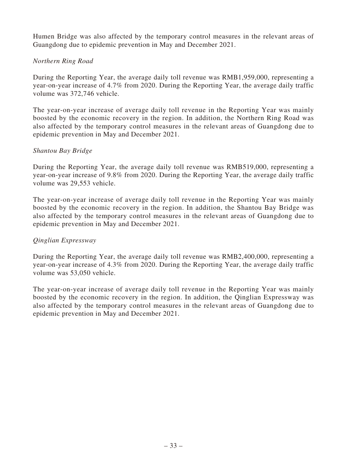Humen Bridge was also affected by the temporary control measures in the relevant areas of Guangdong due to epidemic prevention in May and December 2021.

## *Northern Ring Road*

During the Reporting Year, the average daily toll revenue was RMB1,959,000, representing a year-on-year increase of 4.7% from 2020. During the Reporting Year, the average daily traffic volume was 372,746 vehicle.

The year-on-year increase of average daily toll revenue in the Reporting Year was mainly boosted by the economic recovery in the region. In addition, the Northern Ring Road was also affected by the temporary control measures in the relevant areas of Guangdong due to epidemic prevention in May and December 2021.

### *Shantou Bay Bridge*

During the Reporting Year, the average daily toll revenue was RMB519,000, representing a year-on-year increase of 9.8% from 2020. During the Reporting Year, the average daily traffic volume was 29,553 vehicle.

The year-on-year increase of average daily toll revenue in the Reporting Year was mainly boosted by the economic recovery in the region. In addition, the Shantou Bay Bridge was also affected by the temporary control measures in the relevant areas of Guangdong due to epidemic prevention in May and December 2021.

# *Qinglian Expressway*

During the Reporting Year, the average daily toll revenue was RMB2,400,000, representing a year-on-year increase of 4.3% from 2020. During the Reporting Year, the average daily traffic volume was 53,050 vehicle.

The year-on-year increase of average daily toll revenue in the Reporting Year was mainly boosted by the economic recovery in the region. In addition, the Qinglian Expressway was also affected by the temporary control measures in the relevant areas of Guangdong due to epidemic prevention in May and December 2021.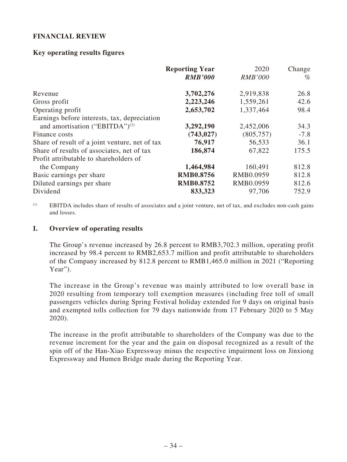# **FINANCIAL REVIEW**

## **Key operating results figures**

|                                                | <b>Reporting Year</b><br><b>RMB'000</b> | 2020<br><b>RMB'000</b> | Change<br>$\%$ |
|------------------------------------------------|-----------------------------------------|------------------------|----------------|
| Revenue                                        | 3,702,276                               | 2,919,838              | 26.8           |
| Gross profit                                   | 2,223,246                               | 1,559,261              | 42.6           |
| Operating profit                               | 2,653,702                               | 1,337,464              | 98.4           |
| Earnings before interests, tax, depreciation   |                                         |                        |                |
| and amortisation ("EBITDA") <sup>(1)</sup>     | 3,292,190                               | 2,452,006              | 34.3           |
| Finance costs                                  | (743, 027)                              | (805,757)              | $-7.8$         |
| Share of result of a joint venture, net of tax | 76,917                                  | 56,533                 | 36.1           |
| Share of results of associates, net of tax     | 186,874                                 | 67,822                 | 175.5          |
| Profit attributable to shareholders of         |                                         |                        |                |
| the Company                                    | 1,464,984                               | 160,491                | 812.8          |
| Basic earnings per share                       | <b>RMB0.8756</b>                        | RMB0.0959              | 812.8          |
| Diluted earnings per share                     | <b>RMB0.8752</b>                        | RMB0.0959              | 812.6          |
| Dividend                                       | 833,323                                 | 97,706                 | 752.9          |

(1) EBITDA includes share of results of associates and a joint venture, net of tax, and excludes non-cash gains and losses.

### **I. Overview of operating results**

The Group's revenue increased by 26.8 percent to RMB3,702.3 million, operating profit increased by 98.4 percent to RMB2,653.7 million and profit attributable to shareholders of the Company increased by 812.8 percent to RMB1,465.0 million in 2021 ("Reporting Year").

The increase in the Group's revenue was mainly attributed to low overall base in 2020 resulting from temporary toll exemption measures (including free toll of small passengers vehicles during Spring Festival holiday extended for 9 days on original basis and exempted tolls collection for 79 days nationwide from 17 February 2020 to 5 May 2020).

The increase in the profit attributable to shareholders of the Company was due to the revenue increment for the year and the gain on disposal recognized as a result of the spin off of the Han-Xiao Expressway minus the respective impairment loss on Jinxiong Expressway and Humen Bridge made during the Reporting Year.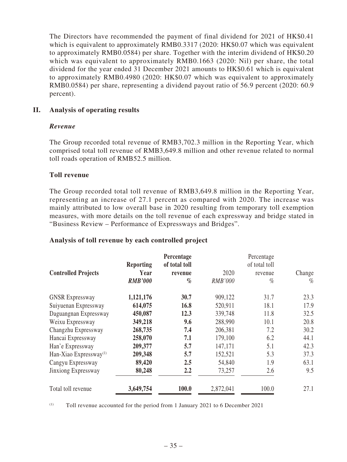The Directors have recommended the payment of final dividend for 2021 of HK\$0.41 which is equivalent to approximately RMB0.3317 (2020: HK\$0.07 which was equivalent to approximately RMB0.0584) per share. Together with the interim dividend of HK\$0.20 which was equivalent to approximately RMB0.1663 (2020: Nil) per share, the total dividend for the year ended 31 December 2021 amounts to HK\$0.61 which is equivalent to approximately RMB0.4980 (2020: HK\$0.07 which was equivalent to approximately RMB0.0584) per share, representing a dividend payout ratio of 56.9 percent (2020: 60.9 percent).

## **II. Analysis of operating results**

### *Revenue*

The Group recorded total revenue of RMB3,702.3 million in the Reporting Year, which comprised total toll revenue of RMB3,649.8 million and other revenue related to normal toll roads operation of RMB52.5 million.

### **Toll revenue**

The Group recorded total toll revenue of RMB3,649.8 million in the Reporting Year, representing an increase of 27.1 percent as compared with 2020. The increase was mainly attributed to low overall base in 2020 resulting from temporary toll exemption measures, with more details on the toll revenue of each expressway and bridge stated in "Business Review – Performance of Expressways and Bridges".

#### **Analysis of toll revenue by each controlled project**

|                                    | <b>Reporting</b> | Percentage<br>of total toll |                | Percentage<br>of total toll |        |
|------------------------------------|------------------|-----------------------------|----------------|-----------------------------|--------|
| <b>Controlled Projects</b>         | Year             | revenue                     | 2020           | revenue                     | Change |
|                                    | <b>RMB'000</b>   | $\%$                        | <b>RMB'000</b> | $\%$                        | $\%$   |
| <b>GNSR Expressway</b>             | 1,121,176        | 30.7                        | 909,122        | 31.7                        | 23.3   |
| Suiyuenan Expressway               | 614,075          | 16.8                        | 520,911        | 18.1                        | 17.9   |
| Daguangnan Expressway              | 450,087          | 12.3                        | 339,748        | 11.8                        | 32.5   |
| Weixu Expressway                   | 349,218          | 9.6                         | 288,990        | 10.1                        | 20.8   |
| Changzhu Expressway                | 268,735          | 7.4                         | 206,381        | 7.2                         | 30.2   |
| Hancai Expressway                  | 258,070          | 7.1                         | 179,100        | 6.2                         | 44.1   |
| Han'e Expressway                   | 209,377          | 5.7                         | 147,171        | 5.1                         | 42.3   |
| Han-Xiao Expressway <sup>(1)</sup> | 209,348          | 5.7                         | 152,521        | 5.3                         | 37.3   |
| Cangyu Expressway                  | 89,420           | 2.5                         | 54,840         | 1.9                         | 63.1   |
| Jinxiong Expressway                | 80,248           | 2.2                         | 73,257         | 2.6                         | 9.5    |
| Total toll revenue                 | 3,649,754        | 100.0                       | 2,872,041      | 100.0                       | 27.1   |

(1) Toll revenue accounted for the period from 1 January 2021 to 6 December 2021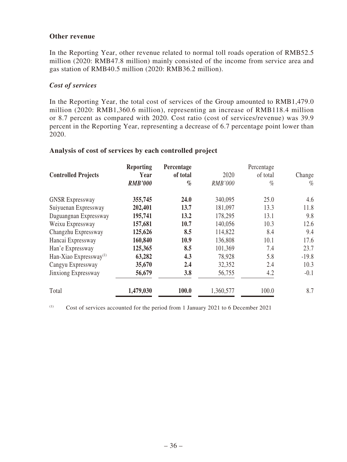### **Other revenue**

In the Reporting Year, other revenue related to normal toll roads operation of RMB52.5 million (2020: RMB47.8 million) mainly consisted of the income from service area and gas station of RMB40.5 million (2020: RMB36.2 million).

## *Cost of services*

In the Reporting Year, the total cost of services of the Group amounted to RMB1,479.0 million (2020: RMB1,360.6 million), representing an increase of RMB118.4 million or 8.7 percent as compared with 2020. Cost ratio (cost of services/revenue) was 39.9 percent in the Reporting Year, representing a decrease of 6.7 percentage point lower than 2020.

#### **Analysis of cost of services by each controlled project**

|                                    | <b>Reporting</b> | Percentage |                | Percentage |         |  |
|------------------------------------|------------------|------------|----------------|------------|---------|--|
| <b>Controlled Projects</b>         | Year             | of total   | 2020           | of total   | Change  |  |
|                                    | <b>RMB'000</b>   | $\%$       | <b>RMB'000</b> | $\%$       | $\%$    |  |
| <b>GNSR Expressway</b>             | 355,745          | 24.0       | 340,095        | 25.0       | 4.6     |  |
| Suiyuenan Expressway               | 202,401          | 13.7       | 181,097        | 13.3       | 11.8    |  |
| Daguangnan Expressway              | 195,741          | 13.2       | 178,295        | 13.1       | 9.8     |  |
| Weixu Expressway                   | 157,681          | 10.7       | 140,056        | 10.3       | 12.6    |  |
| Changzhu Expressway                | 125,626          | 8.5        | 114,822        | 8.4        | 9.4     |  |
| Hancai Expressway                  | 160,840          | 10.9       | 136,808        | 10.1       | 17.6    |  |
| Han'e Expressway                   | 125,365          | 8.5        | 101,369        | 7.4        | 23.7    |  |
| Han-Xiao Expressway <sup>(1)</sup> | 63,282           | 4.3        | 78,928         | 5.8        | $-19.8$ |  |
| Cangyu Expressway                  | 35,670           | 2.4        | 32,352         | 2.4        | 10.3    |  |
| Jinxiong Expressway                | 56,679           | 3.8        | 56,755         | 4.2        | $-0.1$  |  |
| Total                              | 1,479,030        | 100.0      | 1,360,577      | 100.0      | 8.7     |  |

(1) Cost of services accounted for the period from 1 January 2021 to 6 December 2021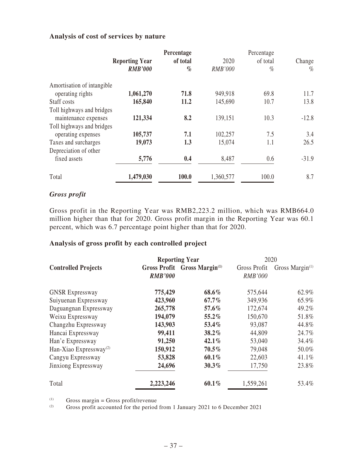# **Analysis of cost of services by nature**

|                            |                       |          |                | Percentage |         |  |
|----------------------------|-----------------------|----------|----------------|------------|---------|--|
|                            | <b>Reporting Year</b> | of total | 2020           | of total   | Change  |  |
|                            | <b>RMB'000</b>        | $\%$     | <b>RMB'000</b> | $\%$       | $\%$    |  |
| Amortisation of intangible |                       |          |                |            |         |  |
| operating rights           | 1,061,270             | 71.8     | 949,918        | 69.8       | 11.7    |  |
| Staff costs                | 165,840               | 11.2     | 145,690        | 10.7       | 13.8    |  |
| Toll highways and bridges  |                       |          |                |            |         |  |
| maintenance expenses       | 121,334               | 8.2      | 139,151        | 10.3       | $-12.8$ |  |
| Toll highways and bridges  |                       |          |                |            |         |  |
| operating expenses         | 105,737               | 7.1      | 102,257        | 7.5        | 3.4     |  |
| Taxes and surcharges       | 19,073                | 1.3      | 15,074         | 1.1        | 26.5    |  |
| Depreciation of other      |                       |          |                |            |         |  |
| fixed assets               | 5,776                 | 0.4      | 8,487          | 0.6        | $-31.9$ |  |
| Total                      | 1,479,030             | 100.0    | 1,360,577      | 100.0      | 8.7     |  |

# *Gross profit*

Gross profit in the Reporting Year was RMB2,223.2 million, which was RMB664.0 million higher than that for 2020. Gross profit margin in the Reporting Year was 60.1 percent, which was 6.7 percentage point higher than that for 2020.

# **Analysis of gross profit by each controlled project**

|                                    |                | <b>Reporting Year</b>                    | 2020                           |                    |  |
|------------------------------------|----------------|------------------------------------------|--------------------------------|--------------------|--|
| <b>Controlled Projects</b>         | <b>RMB'000</b> | Gross Profit Gross Margin <sup>(1)</sup> | Gross Profit<br><b>RMB'000</b> | Gross Margin $(1)$ |  |
| <b>GNSR Expressway</b>             | 775,429        | 68.6%                                    | 575,644                        | 62.9%              |  |
| Suiyuenan Expressway               | 423,960        | $67.7\%$                                 | 349,936                        | 65.9%              |  |
| Daguangnan Expressway              | 265,778        | 57.6%                                    | 172,674                        | 49.2%              |  |
| Weixu Expressway                   | 194,079        | 55.2%                                    | 150,670                        | 51.8%              |  |
| Changzhu Expressway                | 143,903        | 53.4%                                    | 93,087                         | 44.8%              |  |
| Hancai Expressway                  | 99,411         | 38.2%                                    | 44,809                         | 24.7%              |  |
| Han'e Expressway                   | 91,250         | 42.1%                                    | 53,040                         | 34.4%              |  |
| Han-Xiao Expressway <sup>(2)</sup> | 150,912        | $70.5\%$                                 | 79,048                         | 50.0%              |  |
| Cangyu Expressway                  | 53,828         | $60.1\%$                                 | 22,603                         | $41.1\%$           |  |
| Jinxiong Expressway                | 24,696         | $30.3\%$                                 | 17,750                         | 23.8%              |  |
| Total                              | 2,223,246      | $60.1\%$                                 | 1,559,261                      | 53.4%              |  |

(1) Gross margin = Gross profit/revenue<br>  $\frac{1}{2}$  Gross profit accounted for the period

Gross profit accounted for the period from 1 January 2021 to 6 December 2021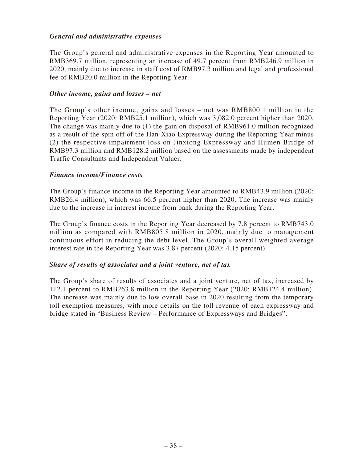# *General and administrative expenses*

The Group's general and administrative expenses in the Reporting Year amounted to RMB369.7 million, representing an increase of 49.7 percent from RMB246.9 million in 2020, mainly due to increase in staff cost of RMB97.3 million and legal and professional fee of RMB20.0 million in the Reporting Year.

#### *Other income, gains and losses – net*

The Group's other income, gains and losses – net was RMB800.1 million in the Reporting Year (2020: RMB25.1 million), which was 3,082.0 percent higher than 2020. The change was mainly due to (1) the gain on disposal of RMB961.0 million recognized as a result of the spin off of the Han-Xiao Expressway during the Reporting Year minus (2) the respective impairment loss on Jinxiong Expressway and Humen Bridge of RMB97.3 million and RMB128.2 million based on the assessments made by independent Traffic Consultants and Independent Valuer.

### *Finance income/Finance costs*

The Group's finance income in the Reporting Year amounted to RMB43.9 million (2020: RMB26.4 million), which was 66.5 percent higher than 2020. The increase was mainly due to the increase in interest income from bank during the Reporting Year.

The Group's finance costs in the Reporting Year decreased by 7.8 percent to RMB743.0 million as compared with RMB805.8 million in 2020, mainly due to management continuous effort in reducing the debt level. The Group's overall weighted average interest rate in the Reporting Year was 3.87 percent (2020: 4.15 percent).

#### *Share of results of associates and a joint venture, net of tax*

The Group's share of results of associates and a joint venture, net of tax, increased by 112.1 percent to RMB263.8 million in the Reporting Year (2020: RMB124.4 million). The increase was mainly due to low overall base in 2020 resulting from the temporary toll exemption measures, with more details on the toll revenue of each expressway and bridge stated in "Business Review – Performance of Expressways and Bridges".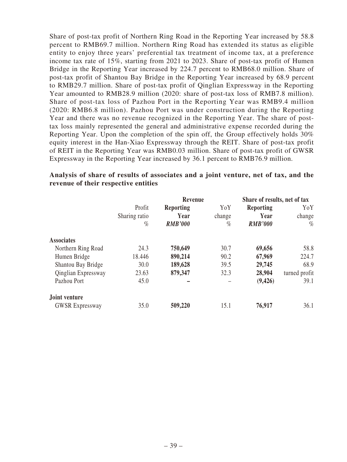Share of post-tax profit of Northern Ring Road in the Reporting Year increased by 58.8 percent to RMB69.7 million. Northern Ring Road has extended its status as eligible entity to enjoy three years' preferential tax treatment of income tax, at a preference income tax rate of 15%, starting from 2021 to 2023. Share of post-tax profit of Humen Bridge in the Reporting Year increased by 224.7 percent to RMB68.0 million. Share of post-tax profit of Shantou Bay Bridge in the Reporting Year increased by 68.9 percent to RMB29.7 million. Share of post-tax profit of Qinglian Expressway in the Reporting Year amounted to RMB28.9 million (2020: share of post-tax loss of RMB7.8 million). Share of post-tax loss of Pazhou Port in the Reporting Year was RMB9.4 million (2020: RMB6.8 million). Pazhou Port was under construction during the Reporting Year and there was no revenue recognized in the Reporting Year. The share of posttax loss mainly represented the general and administrative expense recorded during the Reporting Year. Upon the completion of the spin off, the Group effectively holds 30% equity interest in the Han-Xiao Expressway through the REIT. Share of post-tax profit of REIT in the Reporting Year was RMB0.03 million. Share of post-tax profit of GWSR Expressway in the Reporting Year increased by 36.1 percent to RMB76.9 million.

|                        |               | Revenue          |        | Share of results, net of tax |               |
|------------------------|---------------|------------------|--------|------------------------------|---------------|
|                        | Profit        | <b>Reporting</b> | YoY    | <b>Reporting</b>             | YoY           |
|                        | Sharing ratio | Year             | change | Year                         | change        |
|                        | $\%$          | <b>RMB'000</b>   | $\%$   | <b>RMB'000</b>               | $\%$          |
| <b>Associates</b>      |               |                  |        |                              |               |
| Northern Ring Road     | 24.3          | 750,649          | 30.7   | 69,656                       | 58.8          |
| Humen Bridge           | 18.446        | 890,214          | 90.2   | 67,969                       | 224.7         |
| Shantou Bay Bridge     | 30.0          | 189,628          | 39.5   | 29,745                       | 68.9          |
| Qinglian Expressway    | 23.63         | 879,347          | 32.3   | 28,904                       | turned profit |
| Pazhou Port            | 45.0          |                  |        | (9, 426)                     | 39.1          |
| Joint venture          |               |                  |        |                              |               |
| <b>GWSR Expressway</b> | 35.0          | 509,220          | 15.1   | 76,917                       | 36.1          |

#### **Analysis of share of results of associates and a joint venture, net of tax, and the revenue of their respective entities**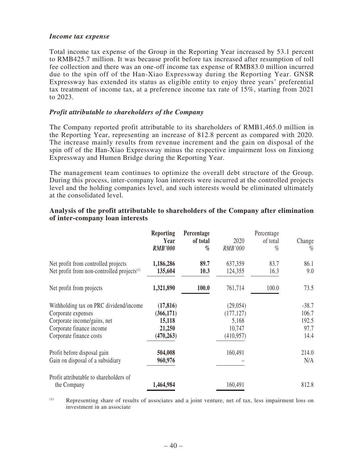#### *Income tax expense*

Total income tax expense of the Group in the Reporting Year increased by 53.1 percent to RMB425.7 million. It was because profit before tax increased after resumption of toll fee collection and there was an one-off income tax expense of RMB83.0 million incurred due to the spin off of the Han-Xiao Expressway during the Reporting Year. GNSR Expressway has extended its status as eligible entity to enjoy three years' preferential tax treatment of income tax, at a preference income tax rate of 15%, starting from 2021 to 2023.

#### *Profit attributable to shareholders of the Company*

The Company reported profit attributable to its shareholders of RMB1,465.0 million in the Reporting Year, representing an increase of 812.8 percent as compared with 2020. The increase mainly results from revenue increment and the gain on disposal of the spin off of the Han-Xiao Expressway minus the respective impairment loss on Jinxiong Expressway and Humen Bridge during the Reporting Year.

The management team continues to optimize the overall debt structure of the Group. During this process, inter-company loan interests were incurred at the controlled projects level and the holding companies level, and such interests would be eliminated ultimately at the consolidated level.

|                                                                                                                                                    | <b>Reporting</b><br>Year<br><b>RMB'000</b>               | Percentage<br>of total<br>$\%$ | 2020<br><b>RMB'000</b>                                   | Percentage<br>of total<br>$\%$ | Change<br>$\%$                            |
|----------------------------------------------------------------------------------------------------------------------------------------------------|----------------------------------------------------------|--------------------------------|----------------------------------------------------------|--------------------------------|-------------------------------------------|
| Net profit from controlled projects<br>Net profit from non-controlled projects <sup>(1)</sup>                                                      | 1,186,286<br>135,604                                     | 89.7<br>10.3                   | 637,359<br>124,355                                       | 83.7<br>16.3                   | 86.1<br>9.0                               |
| Net profit from projects                                                                                                                           | 1,321,890                                                | 100.0                          | 761,714                                                  | 100.0                          | 73.5                                      |
| Withholding tax on PRC dividend/income<br>Corporate expenses<br>Corporate income/gains, net<br>Corporate finance income<br>Corporate finance costs | (17, 816)<br>(366,171)<br>15,118<br>21,250<br>(470, 263) |                                | (29, 054)<br>(177, 127)<br>5,168<br>10,747<br>(410, 957) |                                | $-38.7$<br>106.7<br>192.5<br>97.7<br>14.4 |
| Profit before disposal gain<br>Gain on disposal of a subsidiary                                                                                    | 504,008<br>960,976                                       |                                | 160,491                                                  |                                | 214.0<br>N/A                              |
| Profit attributable to shareholders of<br>the Company                                                                                              | 1,464,984                                                |                                | 160,491                                                  |                                | 812.8                                     |

#### **Analysis of the profit attributable to shareholders of the Company after elimination of inter-company loan interests**

(1) Representing share of results of associates and a joint venture, net of tax, less impairment loss on investment in an associate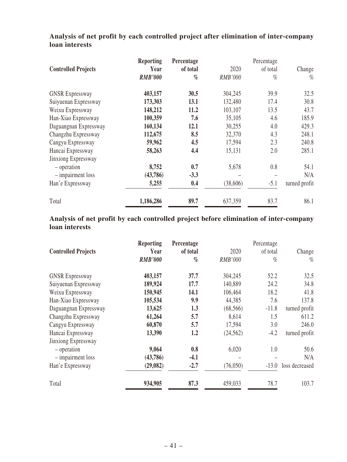| <b>Controlled Projects</b>               | <b>Reporting</b><br>Year<br><b>RMB'000</b> | Percentage<br>of total<br>$\%$ | 2020<br><b>RMB'000</b> | Percentage<br>of total<br>$\%$ | Change<br>$\%$ |
|------------------------------------------|--------------------------------------------|--------------------------------|------------------------|--------------------------------|----------------|
| <b>GNSR Expressway</b>                   | 403,157                                    | 30.5                           | 304,245                | 39.9                           | 32.5           |
| Suiyuenan Expressway                     | 173,303                                    | 13.1                           | 132,480                | 17.4                           | 30.8           |
| Weixu Expressway                         | 148,212                                    | 11.2                           | 103,107                | 13.5                           | 43.7           |
| Han-Xiao Expressway                      | 100,359                                    | 7.6                            | 35,105                 | 4.6                            | 185.9          |
| Daguangnan Expressway                    | 160,134                                    | 12.1                           | 30,255                 | 4.0                            | 429.3          |
| Changzhu Expressway                      | 112,675                                    | 8.5                            | 32,370                 | 4.3                            | 248.1          |
| Cangyu Expressway                        | 59,962                                     | 4.5                            | 17,594                 | 2.3                            | 240.8          |
| Hancai Expressway<br>Jinxiong Expressway | 58,263                                     | 4.4                            | 15,131                 | 2.0                            | 285.1          |
| - operation                              | 8,752                                      | 0.7                            | 5,678                  | 0.8                            | 54.1           |
| - impairment loss                        | (43,786)                                   | $-3.3$                         |                        |                                | N/A            |
| Han'e Expressway                         | 5,255                                      | 0.4                            | (38,606)               | $-5.1$                         | turned profit  |
| Total                                    | 1,186,286                                  | 89.7                           | 637,359                | 83.7                           | 86.1           |

**Analysis of net profit by each controlled project after elimination of inter-company loan interests**

**Analysis of net profit by each controlled project before elimination of inter-company loan interests**

|                            | <b>Reporting</b> | Percentage |           | Percentage |                |
|----------------------------|------------------|------------|-----------|------------|----------------|
| <b>Controlled Projects</b> | Year             | of total   | 2020      | of total   | Change         |
|                            | <b>RMB'000</b>   | $\%$       | RMB'000   | %          | $\%$           |
| <b>GNSR Expressway</b>     | 403,157          | 37.7       | 304,245   | 52.2       | 32.5           |
| Suiyuenan Expressway       | 189,924          | 17.7       | 140,889   | 24.2       | 34.8           |
| Weixu Expressway           | 150,945          | 14.1       | 106,464   | 18.2       | 41.8           |
| Han-Xiao Expressway        | 105,534          | 9.9        | 44,385    | 7.6        | 137.8          |
| Daguangnan Expressway      | 13,625           | 1.3        | (68, 566) | $-11.8$    | turned profit  |
| Changzhu Expressway        | 61,264           | 5.7        | 8,614     | 1.5        | 611.2          |
| Cangyu Expressway          | 60,870           | 5.7        | 17,594    | 3.0        | 246.0          |
| Hancai Expressway          | 13,390           | 1.2        | (24, 562) | $-4.2$     | turned profit  |
| Jinxiong Expressway        |                  |            |           |            |                |
| - operation                | 9,064            | 0.8        | 6,020     | 1.0        | 50.6           |
| - impairment loss          | (43,786)         | $-4.1$     |           |            | N/A            |
| Han'e Expressway           | (29,082)         | $-2.7$     | (76,050)  | $-13.0$    | loss decreased |
| Total                      | 934,905          | 87.3       | 459,033   | 78.7       | 103.7          |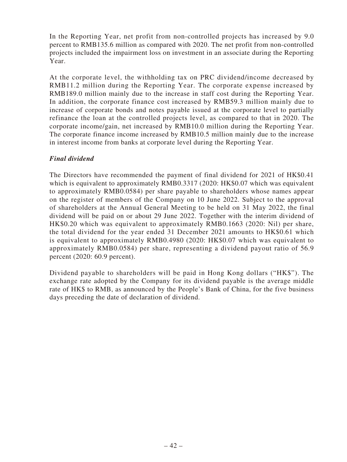In the Reporting Year, net profit from non-controlled projects has increased by 9.0 percent to RMB135.6 million as compared with 2020. The net profit from non-controlled projects included the impairment loss on investment in an associate during the Reporting Year.

At the corporate level, the withholding tax on PRC dividend/income decreased by RMB11.2 million during the Reporting Year. The corporate expense increased by RMB189.0 million mainly due to the increase in staff cost during the Reporting Year. In addition, the corporate finance cost increased by RMB59.3 million mainly due to increase of corporate bonds and notes payable issued at the corporate level to partially refinance the loan at the controlled projects level, as compared to that in 2020. The corporate income/gain, net increased by RMB10.0 million during the Reporting Year. The corporate finance income increased by RMB10.5 million mainly due to the increase in interest income from banks at corporate level during the Reporting Year.

# *Final dividend*

The Directors have recommended the payment of final dividend for 2021 of HK\$0.41 which is equivalent to approximately RMB0.3317 (2020: HK\$0.07 which was equivalent to approximately RMB0.0584) per share payable to shareholders whose names appear on the register of members of the Company on 10 June 2022. Subject to the approval of shareholders at the Annual General Meeting to be held on 31 May 2022, the final dividend will be paid on or about 29 June 2022. Together with the interim dividend of HK\$0.20 which was equivalent to approximately RMB0.1663 (2020: Nil) per share, the total dividend for the year ended 31 December 2021 amounts to HK\$0.61 which is equivalent to approximately RMB0.4980 (2020: HK\$0.07 which was equivalent to approximately RMB0.0584) per share, representing a dividend payout ratio of 56.9 percent (2020: 60.9 percent).

Dividend payable to shareholders will be paid in Hong Kong dollars ("HK\$"). The exchange rate adopted by the Company for its dividend payable is the average middle rate of HK\$ to RMB, as announced by the People's Bank of China, for the five business days preceding the date of declaration of dividend.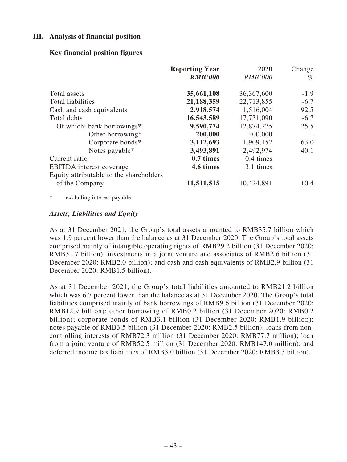## **III. Analysis of financial position**

### **Key financial position figures**

|                                         | <b>Reporting Year</b><br><b>RMB'000</b> | 2020<br><b>RMB'000</b> | Change<br>$\%$ |
|-----------------------------------------|-----------------------------------------|------------------------|----------------|
| Total assets                            | 35,661,108                              | 36,367,600             | $-1.9$         |
| <b>Total liabilities</b>                | 21,188,359                              | 22,713,855             | $-6.7$         |
| Cash and cash equivalents               | 2,918,574                               | 1,516,004              | 92.5           |
| Total debts                             | 16,543,589                              | 17,731,090             | $-6.7$         |
| Of which: bank borrowings*              | 9,590,774                               | 12,874,275             | $-25.5$        |
| Other borrowing*                        | 200,000                                 | 200,000                |                |
| Corporate bonds*                        | 3,112,693                               | 1,909,152              | 63.0           |
| Notes payable*                          | 3,493,891                               | 2,492,974              | 40.1           |
| Current ratio                           | 0.7 times                               | $0.4 \times$           |                |
| <b>EBITDA</b> interest coverage         | 4.6 times                               | 3.1 times              |                |
| Equity attributable to the shareholders |                                         |                        |                |
| of the Company                          | 11,511,515                              | 10,424,891             | 10.4           |

\* excluding interest payable

#### *Assets, Liabilities and Equity*

As at 31 December 2021, the Group's total assets amounted to RMB35.7 billion which was 1.9 percent lower than the balance as at 31 December 2020. The Group's total assets comprised mainly of intangible operating rights of RMB29.2 billion (31 December 2020: RMB31.7 billion); investments in a joint venture and associates of RMB2.6 billion (31 December 2020: RMB2.0 billion); and cash and cash equivalents of RMB2.9 billion (31 December 2020: RMB1.5 billion).

As at 31 December 2021, the Group's total liabilities amounted to RMB21.2 billion which was 6.7 percent lower than the balance as at 31 December 2020. The Group's total liabilities comprised mainly of bank borrowings of RMB9.6 billion (31 December 2020: RMB12.9 billion); other borrowing of RMB0.2 billion (31 December 2020: RMB0.2 billion); corporate bonds of RMB3.1 billion (31 December 2020: RMB1.9 billion); notes payable of RMB3.5 billion (31 December 2020: RMB2.5 billion); loans from noncontrolling interests of RMB72.3 million (31 December 2020: RMB77.7 million); loan from a joint venture of RMB52.5 million (31 December 2020: RMB147.0 million); and deferred income tax liabilities of RMB3.0 billion (31 December 2020: RMB3.3 billion).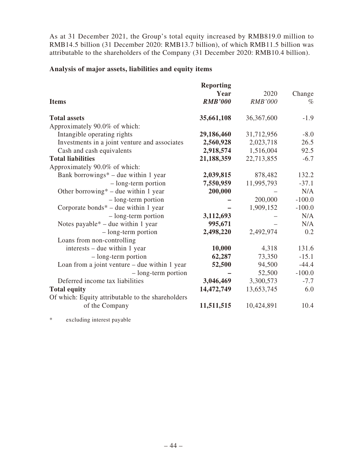As at 31 December 2021, the Group's total equity increased by RMB819.0 million to RMB14.5 billion (31 December 2020: RMB13.7 billion), of which RMB11.5 billion was attributable to the shareholders of the Company (31 December 2020: RMB10.4 billion).

## **Analysis of major assets, liabilities and equity items**

|                                                   | <b>Reporting</b> |            |          |
|---------------------------------------------------|------------------|------------|----------|
|                                                   | Year             | 2020       | Change   |
| <b>Items</b>                                      | <b>RMB'000</b>   | RMB'000    | $\%$     |
| <b>Total assets</b>                               | 35,661,108       | 36,367,600 | $-1.9$   |
| Approximately 90.0% of which:                     |                  |            |          |
| Intangible operating rights                       | 29,186,460       | 31,712,956 | $-8.0$   |
| Investments in a joint venture and associates     | 2,560,928        | 2,023,718  | 26.5     |
| Cash and cash equivalents                         | 2,918,574        | 1,516,004  | 92.5     |
| <b>Total liabilities</b>                          | 21,188,359       | 22,713,855 | $-6.7$   |
| Approximately 90.0% of which:                     |                  |            |          |
| Bank borrowings* – due within 1 year              | 2,039,815        | 878,482    | 132.2    |
| - long-term portion                               | 7,550,959        | 11,995,793 | $-37.1$  |
| Other borrowing $*$ – due within 1 year           | 200,000          |            | N/A      |
| $-$ long-term portion                             |                  | 200,000    | $-100.0$ |
| Corporate bonds* – due within 1 year              |                  | 1,909,152  | $-100.0$ |
| - long-term portion                               | 3,112,693        |            | N/A      |
| Notes payable* – due within 1 year                | 995,671          |            | N/A      |
| $-$ long-term portion                             | 2,498,220        | 2,492,974  | 0.2      |
| Loans from non-controlling                        |                  |            |          |
| interests – due within 1 year                     | 10,000           | 4,318      | 131.6    |
| $-$ long-term portion                             | 62,287           | 73,350     | $-15.1$  |
| Loan from a joint venture $-$ due within 1 year   | 52,500           | 94,500     | $-44.4$  |
| - long-term portion                               |                  | 52,500     | $-100.0$ |
| Deferred income tax liabilities                   | 3,046,469        | 3,300,573  | $-7.7$   |
| <b>Total equity</b>                               | 14,472,749       | 13,653,745 | 6.0      |
| Of which: Equity attributable to the shareholders |                  |            |          |
| of the Company                                    | 11,511,515       | 10,424,891 | 10.4     |

\* excluding interest payable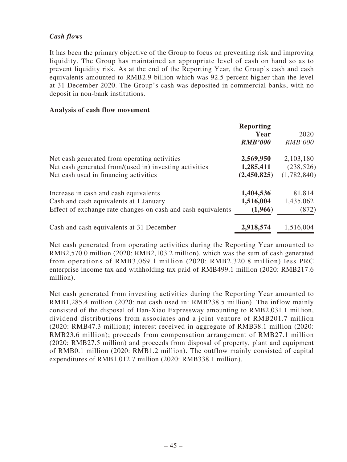# *Cash flows*

It has been the primary objective of the Group to focus on preventing risk and improving liquidity. The Group has maintained an appropriate level of cash on hand so as to prevent liquidity risk. As at the end of the Reporting Year, the Group's cash and cash equivalents amounted to RMB2.9 billion which was 92.5 percent higher than the level at 31 December 2020. The Group's cash was deposited in commercial banks, with no deposit in non-bank institutions.

#### **Analysis of cash flow movement**

|                                                              | <b>Reporting</b><br>Year<br><b>RMB'000</b> | 2020<br><b>RMB'000</b> |
|--------------------------------------------------------------|--------------------------------------------|------------------------|
| Net cash generated from operating activities                 | 2,569,950                                  | 2,103,180              |
| Net cash generated from/(used in) investing activities       | 1,285,411                                  | (238, 526)             |
| Net cash used in financing activities                        | (2,450,825)                                | (1,782,840)            |
| Increase in cash and cash equivalents                        | 1,404,536                                  | 81,814                 |
| Cash and cash equivalents at 1 January                       | 1,516,004                                  | 1,435,062              |
| Effect of exchange rate changes on cash and cash equivalents | (1,966)                                    | (872)                  |
| Cash and cash equivalents at 31 December                     | 2,918,574                                  | 1,516,004              |

Net cash generated from operating activities during the Reporting Year amounted to RMB2,570.0 million (2020: RMB2,103.2 million), which was the sum of cash generated from operations of RMB3,069.1 million (2020: RMB2,320.8 million) less PRC enterprise income tax and withholding tax paid of RMB499.1 million (2020: RMB217.6 million).

Net cash generated from investing activities during the Reporting Year amounted to RMB1,285.4 million (2020: net cash used in: RMB238.5 million). The inflow mainly consisted of the disposal of Han-Xiao Expressway amounting to RMB2,031.1 million, dividend distributions from associates and a joint venture of RMB201.7 million (2020: RMB47.3 million); interest received in aggregate of RMB38.1 million (2020: RMB23.6 million); proceeds from compensation arrangement of RMB27.1 million (2020: RMB27.5 million) and proceeds from disposal of property, plant and equipment of RMB0.1 million (2020: RMB1.2 million). The outflow mainly consisted of capital expenditures of RMB1,012.7 million (2020: RMB338.1 million).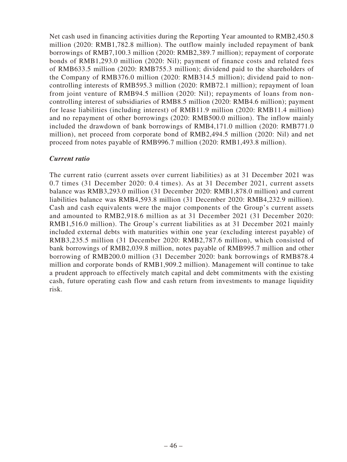Net cash used in financing activities during the Reporting Year amounted to RMB2,450.8 million (2020: RMB1,782.8 million). The outflow mainly included repayment of bank borrowings of RMB7,100.3 million (2020: RMB2,389.7 million); repayment of corporate bonds of RMB1,293.0 million (2020: Nil); payment of finance costs and related fees of RMB633.5 million (2020: RMB755.3 million); dividend paid to the shareholders of the Company of RMB376.0 million (2020: RMB314.5 million); dividend paid to noncontrolling interests of RMB595.3 million (2020: RMB72.1 million); repayment of loan from joint venture of RMB94.5 million (2020: Nil); repayments of loans from noncontrolling interest of subsidiaries of RMB8.5 million (2020: RMB4.6 million); payment for lease liabilities (including interest) of RMB11.9 million (2020: RMB11.4 million) and no repayment of other borrowings (2020: RMB500.0 million). The inflow mainly included the drawdown of bank borrowings of RMB4,171.0 million (2020: RMB771.0 million), net proceed from corporate bond of RMB2,494.5 million (2020: Nil) and net proceed from notes payable of RMB996.7 million (2020: RMB1,493.8 million).

# *Current ratio*

The current ratio (current assets over current liabilities) as at 31 December 2021 was 0.7 times (31 December 2020: 0.4 times). As at 31 December 2021, current assets balance was RMB3,293.0 million (31 December 2020: RMB1,878.0 million) and current liabilities balance was RMB4,593.8 million (31 December 2020: RMB4,232.9 million). Cash and cash equivalents were the major components of the Group's current assets and amounted to RMB2,918.6 million as at 31 December 2021 (31 December 2020: RMB1,516.0 million). The Group's current liabilities as at 31 December 2021 mainly included external debts with maturities within one year (excluding interest payable) of RMB3,235.5 million (31 December 2020: RMB2,787.6 million), which consisted of bank borrowings of RMB2,039.8 million, notes payable of RMB995.7 million and other borrowing of RMB200.0 million (31 December 2020: bank borrowings of RMB878.4 million and corporate bonds of RMB1,909.2 million). Management will continue to take a prudent approach to effectively match capital and debt commitments with the existing cash, future operating cash flow and cash return from investments to manage liquidity risk.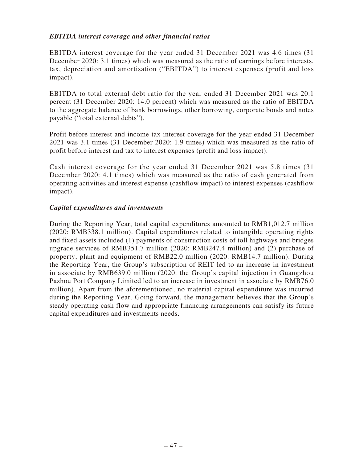# *EBITDA interest coverage and other financial ratios*

EBITDA interest coverage for the year ended 31 December 2021 was 4.6 times (31 December 2020: 3.1 times) which was measured as the ratio of earnings before interests, tax, depreciation and amortisation ("EBITDA") to interest expenses (profit and loss impact).

EBITDA to total external debt ratio for the year ended 31 December 2021 was 20.1 percent (31 December 2020: 14.0 percent) which was measured as the ratio of EBITDA to the aggregate balance of bank borrowings, other borrowing, corporate bonds and notes payable ("total external debts").

Profit before interest and income tax interest coverage for the year ended 31 December 2021 was 3.1 times (31 December 2020: 1.9 times) which was measured as the ratio of profit before interest and tax to interest expenses (profit and loss impact).

Cash interest coverage for the year ended 31 December 2021 was 5.8 times (31 December 2020: 4.1 times) which was measured as the ratio of cash generated from operating activities and interest expense (cashflow impact) to interest expenses (cashflow impact).

### *Capital expenditures and investments*

During the Reporting Year, total capital expenditures amounted to RMB1,012.7 million (2020: RMB338.1 million). Capital expenditures related to intangible operating rights and fixed assets included (1) payments of construction costs of toll highways and bridges upgrade services of RMB351.7 million (2020: RMB247.4 million) and (2) purchase of property, plant and equipment of RMB22.0 million (2020: RMB14.7 million). During the Reporting Year, the Group's subscription of REIT led to an increase in investment in associate by RMB639.0 million (2020: the Group's capital injection in Guangzhou Pazhou Port Company Limited led to an increase in investment in associate by RMB76.0 million). Apart from the aforementioned, no material capital expenditure was incurred during the Reporting Year. Going forward, the management believes that the Group's steady operating cash flow and appropriate financing arrangements can satisfy its future capital expenditures and investments needs.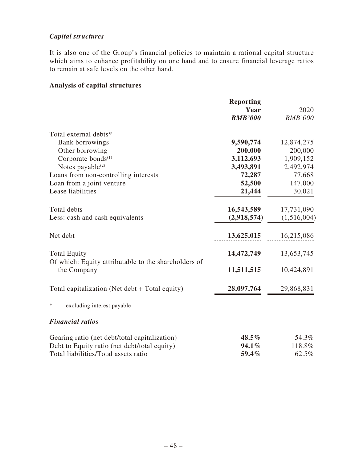# *Capital structures*

It is also one of the Group's financial policies to maintain a rational capital structure which aims to enhance profitability on one hand and to ensure financial leverage ratios to remain at safe levels on the other hand.

# **Analysis of capital structures**

|                                                                     | <b>Reporting</b><br>Year<br><b>RMB'000</b> | 2020<br><b>RMB'000</b> |
|---------------------------------------------------------------------|--------------------------------------------|------------------------|
| Total external debts*                                               |                                            |                        |
| <b>Bank borrowings</b>                                              | 9,590,774                                  | 12,874,275             |
| Other borrowing                                                     | 200,000                                    | 200,000                |
| Corporate bonds <sup>(1)</sup>                                      | 3,112,693                                  | 1,909,152              |
| Notes payable <sup>(2)</sup>                                        | 3,493,891                                  | 2,492,974              |
| Loans from non-controlling interests                                | 72,287                                     | 77,668                 |
| Loan from a joint venture                                           | 52,500                                     | 147,000                |
| Lease liabilities                                                   | 21,444                                     | 30,021                 |
| Total debts                                                         | 16,543,589                                 | 17,731,090             |
| Less: cash and cash equivalents                                     | (2,918,574)                                | (1,516,004)            |
| Net debt                                                            | 13,625,015                                 | 16,215,086             |
| <b>Total Equity</b>                                                 | 14,472,749                                 | 13,653,745             |
| Of which: Equity attributable to the shareholders of<br>the Company | 11,511,515                                 | 10,424,891             |
| Total capitalization (Net debt + Total equity)                      | 28,097,764                                 | 29,868,831             |
| *<br>excluding interest payable                                     |                                            |                        |
| <b>Financial ratios</b>                                             |                                            |                        |
| Gearing ratio (net debt/total capitalization)                       | 48.5%                                      | 54.3%                  |
| Debt to Equity ratio (net debt/total equity)                        | 94.1%                                      | 118.8%                 |
| Total liabilities/Total assets ratio                                | 59.4%                                      | 62.5%                  |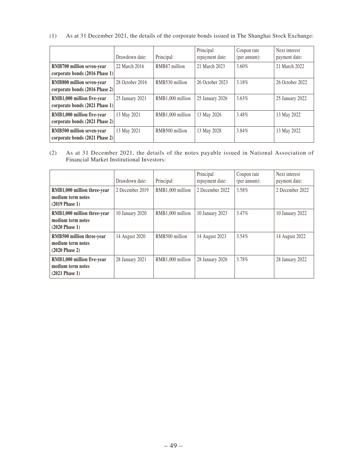(1) As at 31 December 2021, the details of the corporate bonds issued in The Shanghai Stock Exchange:

|                                                              | Drawdown date:  | Principal:       | Principal<br>repayment date: | Coupon rate<br>${\rm (per\ annum)}$ : | Next interest<br>payment date: |
|--------------------------------------------------------------|-----------------|------------------|------------------------------|---------------------------------------|--------------------------------|
| RMB700 million seven-year<br>corporate bonds (2016 Phase 1)  | 22 March 2016   | RMB87 million    | 21 March 2023                | 3.60%                                 | 21 March 2022                  |
| RMB800 million seven-year<br>corporate bonds (2016 Phase 2)  | 28 October 2016 | RMB530 million   | 26 October 2023              | 3.18%                                 | 26 October 2022                |
| RMB1,000 million five-year<br>corporate bonds (2021 Phase 1) | 25 January 2021 | RMB1,000 million | 25 January 2026              | 3.63%                                 | 25 January 2022                |
| RMB1,000 million five-year<br>corporate bonds (2021 Phase 2) | 13 May 2021     | RMB1,000 million | 13 May 2026                  | 3.48%                                 | 13 May 2022                    |
| RMB500 million seven-year<br>corporate bonds (2021 Phase 2)  | 13 May 2021     | RMB500 million   | 13 May 2028                  | 3.84%                                 | 13 May 2022                    |

(2) As at 31 December 2021, the details of the notes payable issued in National Association of Financial Market Institutional Investors:

|                                                                               | Drawdown date:  | Principal:       | Principal<br>repayment date: | Coupon rate<br>(per annum): | Next interest<br>payment date: |
|-------------------------------------------------------------------------------|-----------------|------------------|------------------------------|-----------------------------|--------------------------------|
| RMB1,000 million three-year<br>medium term notes<br>$(2019$ Phase 1)          | 2 December 2019 | RMB1,000 million | 2 December 2022              | 3.58%                       | 2 December 2022                |
| RMB1,000 million three-year<br>medium term notes<br>$(2020 \text{ Phase } 1)$ | 10 January 2020 | RMB1,000 million | 10 January 2023              | 3.47%                       | 10 January 2022                |
| RMB500 million three-year<br>medium term notes<br>$(2020$ Phase 2)            | 14 August 2020  | RMB500 million   | 14 August 2023               | 3.54%                       | 14 August 2022                 |
| RMB1,000 million five-year<br>medium term notes<br>$(2021$ Phase 1)           | 28 January 2021 | RMB1,000 million | 28 January 2026              | 3.78%                       | 28 January 2022                |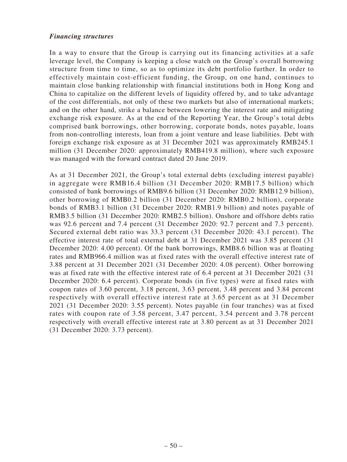### *Financing structures*

In a way to ensure that the Group is carrying out its financing activities at a safe leverage level, the Company is keeping a close watch on the Group's overall borrowing structure from time to time, so as to optimize its debt portfolio further. In order to effectively maintain cost-efficient funding, the Group, on one hand, continues to maintain close banking relationship with financial institutions both in Hong Kong and China to capitalize on the different levels of liquidity offered by, and to take advantage of the cost differentials, not only of these two markets but also of international markets; and on the other hand, strike a balance between lowering the interest rate and mitigating exchange risk exposure. As at the end of the Reporting Year, the Group's total debts comprised bank borrowings, other borrowing, corporate bonds, notes payable, loans from non-controlling interests, loan from a joint venture and lease liabilities. Debt with foreign exchange risk exposure as at 31 December 2021 was approximately RMB245.1 million (31 December 2020: approximately RMB419.8 million), where such exposure was managed with the forward contract dated 20 June 2019.

As at 31 December 2021, the Group's total external debts (excluding interest payable) in aggregate were RMB16.4 billion (31 December 2020: RMB17.5 billion) which consisted of bank borrowings of RMB9.6 billion (31 December 2020: RMB12.9 billion), other borrowing of RMB0.2 billion (31 December 2020: RMB0.2 billion), corporate bonds of RMB3.1 billion (31 December 2020: RMB1.9 billion) and notes payable of RMB3.5 billion (31 December 2020: RMB2.5 billion). Onshore and offshore debts ratio was 92.6 percent and 7.4 percent (31 December 2020: 92.7 percent and 7.3 percent). Secured external debt ratio was 33.3 percent (31 December 2020: 43.1 percent). The effective interest rate of total external debt at 31 December 2021 was 3.85 percent (31 December 2020: 4.00 percent). Of the bank borrowings, RMB8.6 billion was at floating rates and RMB966.4 million was at fixed rates with the overall effective interest rate of 3.88 percent at 31 December 2021 (31 December 2020: 4.08 percent). Other borrowing was at fixed rate with the effective interest rate of 6.4 percent at 31 December 2021 (31 December 2020: 6.4 percent). Corporate bonds (in five types) were at fixed rates with coupon rates of 3.60 percent, 3.18 percent, 3.63 percent, 3.48 percent and 3.84 percent respectively with overall effective interest rate at 3.65 percent as at 31 December 2021 (31 December 2020: 3.55 percent). Notes payable (in four tranches) was at fixed rates with coupon rate of 3.58 percent, 3.47 percent, 3.54 percent and 3.78 percent respectively with overall effective interest rate at 3.80 percent as at 31 December 2021 (31 December 2020: 3.73 percent).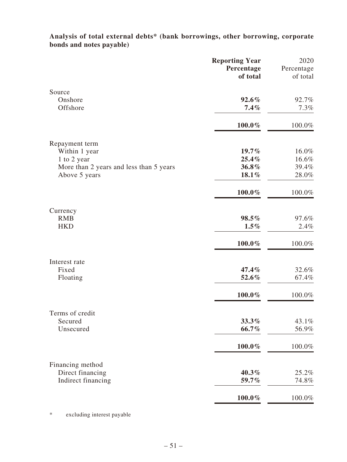**Analysis of total external debts\* (bank borrowings, other borrowing, corporate bonds and notes payable)**

|                                         | <b>Reporting Year</b><br>Percentage<br>of total | 2020<br>Percentage<br>of total |
|-----------------------------------------|-------------------------------------------------|--------------------------------|
| Source<br>Onshore<br>Offshore           | $92.6\%$<br>7.4%                                | 92.7%<br>7.3%                  |
|                                         | $100.0\%$                                       | 100.0%                         |
| Repayment term<br>Within 1 year         | $19.7\%$                                        | 16.0%                          |
| 1 to 2 year                             | 25.4%                                           | 16.6%                          |
| More than 2 years and less than 5 years | 36.8%                                           | 39.4%                          |
| Above 5 years                           | 18.1%                                           | 28.0%                          |
|                                         | $100.0\%$                                       | 100.0%                         |
| Currency                                |                                                 |                                |
| <b>RMB</b><br><b>HKD</b>                | 98.5%<br>$1.5\%$                                | 97.6%<br>2.4%                  |
|                                         | $100.0\%$                                       | 100.0%                         |
| Interest rate                           |                                                 |                                |
| Fixed                                   | 47.4%                                           | 32.6%                          |
| Floating                                | 52.6%                                           | 67.4%                          |
|                                         | 100.0%                                          | 100.0%                         |
| Terms of credit                         |                                                 |                                |
| Secured                                 | 33.3%                                           | 43.1%                          |
| Unsecured                               | 66.7%                                           | 56.9%                          |
|                                         | $100.0\%$                                       | 100.0%                         |
| Financing method                        |                                                 |                                |
| Direct financing                        | 40.3%                                           | 25.2%                          |
| Indirect financing                      | 59.7%                                           | 74.8%                          |
|                                         | $100.0\%$                                       | 100.0%                         |

\* excluding interest payable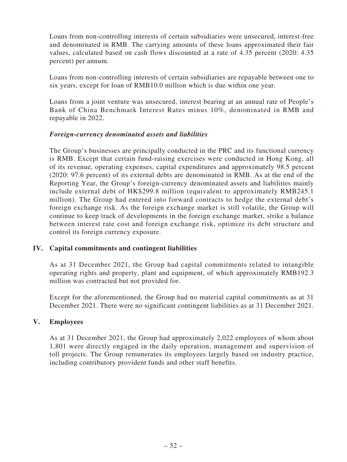Loans from non-controlling interests of certain subsidiaries were unsecured, interest-free and denominated in RMB. The carrying amounts of these loans approximated their fair values, calculated based on cash flows discounted at a rate of 4.35 percent (2020: 4.35 percent) per annum.

Loans from non-controlling interests of certain subsidiaries are repayable between one to six years, except for loan of RMB10.0 million which is due within one year.

Loans from a joint venture was unsecured, interest bearing at an annual rate of People's Bank of China Benchmark Interest Rates minus 10%, denominated in RMB and repayable in 2022.

### *Foreign-currency denominated assets and liabilities*

The Group's businesses are principally conducted in the PRC and its functional currency is RMB. Except that certain fund-raising exercises were conducted in Hong Kong, all of its revenue, operating expenses, capital expenditures and approximately 98.5 percent (2020: 97.6 percent) of its external debts are denominated in RMB. As at the end of the Reporting Year, the Group's foreign-currency denominated assets and liabilities mainly include external debt of HK\$299.8 million (equivalent to approximately RMB245.1 million). The Group had entered into forward contracts to hedge the external debt's foreign exchange risk. As the foreign exchange market is still volatile, the Group will continue to keep track of developments in the foreign exchange market, strike a balance between interest rate cost and foreign exchange risk, optimize its debt structure and control its foreign currency exposure.

# **IV. Capital commitments and contingent liabilities**

As at 31 December 2021, the Group had capital commitments related to intangible operating rights and property, plant and equipment, of which approximately RMB192.3 million was contracted but not provided for.

Except for the aforementioned, the Group had no material capital commitments as at 31 December 2021. There were no significant contingent liabilities as at 31 December 2021.

#### **V. Employees**

As at 31 December 2021, the Group had approximately 2,022 employees of whom about 1,801 were directly engaged in the daily operation, management and supervision of toll projects. The Group remunerates its employees largely based on industry practice, including contributory provident funds and other staff benefits.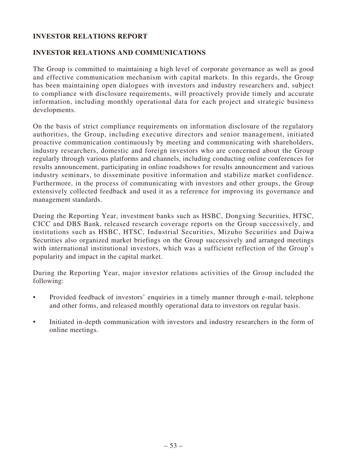# **INVESTOR RELATIONS REPORT**

# **INVESTOR RELATIONS AND COMMUNICATIONS**

The Group is committed to maintaining a high level of corporate governance as well as good and effective communication mechanism with capital markets. In this regards, the Group has been maintaining open dialogues with investors and industry researchers and, subject to compliance with disclosure requirements, will proactively provide timely and accurate information, including monthly operational data for each project and strategic business developments.

On the basis of strict compliance requirements on information disclosure of the regulatory authorities, the Group, including executive directors and senior management, initiated proactive communication continuously by meeting and communicating with shareholders, industry researchers, domestic and foreign investors who are concerned about the Group regularly through various platforms and channels, including conducting online conferences for results announcement, participating in online roadshows for results announcement and various industry seminars, to disseminate positive information and stabilize market confidence. Furthermore, in the process of communicating with investors and other groups, the Group extensively collected feedback and used it as a reference for improving its governance and management standards.

During the Reporting Year, investment banks such as HSBC, Dongxing Securities, HTSC, CICC and DBS Bank, released research coverage reports on the Group successively, and institutions such as HSBC, HTSC, Industrial Securities, Mizuho Securities and Daiwa Securities also organized market briefings on the Group successively and arranged meetings with international institutional investors, which was a sufficient reflection of the Group's popularity and impact in the capital market.

During the Reporting Year, major investor relations activities of the Group included the following:

- Provided feedback of investors' enquiries in a timely manner through e-mail, telephone and other forms, and released monthly operational data to investors on regular basis.
- Initiated in-depth communication with investors and industry researchers in the form of online meetings.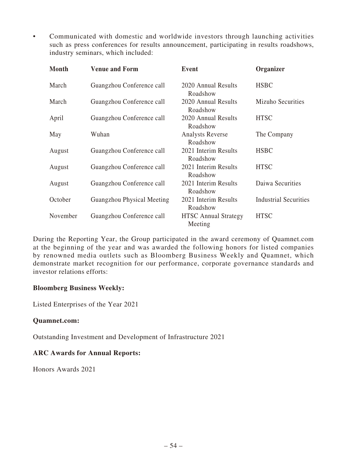• Communicated with domestic and worldwide investors through launching activities such as press conferences for results announcement, participating in results roadshows, industry seminars, which included:

| Month    | <b>Venue and Form</b>      | Event                                  | Organizer                    |
|----------|----------------------------|----------------------------------------|------------------------------|
| March    | Guangzhou Conference call  | 2020 Annual Results<br>Roadshow        | <b>HSBC</b>                  |
| March    | Guangzhou Conference call  | 2020 Annual Results<br>Roadshow        | Mizuho Securities            |
| April    | Guangzhou Conference call  | 2020 Annual Results<br>Roadshow        | <b>HTSC</b>                  |
| May      | Wuhan                      | <b>Analysts Reverse</b><br>Roadshow    | The Company                  |
| August   | Guangzhou Conference call  | 2021 Interim Results<br>Roadshow       | <b>HSBC</b>                  |
| August   | Guangzhou Conference call  | 2021 Interim Results<br>Roadshow       | <b>HTSC</b>                  |
| August   | Guangzhou Conference call  | 2021 Interim Results<br>Roadshow       | Daiwa Securities             |
| October  | Guangzhou Physical Meeting | 2021 Interim Results<br>Roadshow       | <b>Industrial Securities</b> |
| November | Guangzhou Conference call  | <b>HTSC</b> Annual Strategy<br>Meeting | <b>HTSC</b>                  |

During the Reporting Year, the Group participated in the award ceremony of Quamnet.com at the beginning of the year and was awarded the following honors for listed companies by renowned media outlets such as Bloomberg Business Weekly and Quamnet, which demonstrate market recognition for our performance, corporate governance standards and investor relations efforts:

# **Bloomberg Business Weekly:**

Listed Enterprises of the Year 2021

# **Quamnet.com:**

Outstanding Investment and Development of Infrastructure 2021

#### **ARC Awards for Annual Reports:**

Honors Awards 2021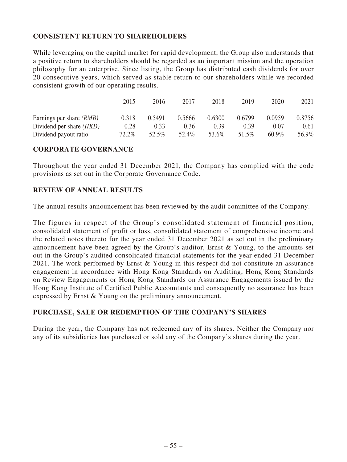# **CONSISTENT RETURN TO SHAREHOLDERS**

While leveraging on the capital market for rapid development, the Group also understands that a positive return to shareholders should be regarded as an important mission and the operation philosophy for an enterprise. Since listing, the Group has distributed cash dividends for over 20 consecutive years, which served as stable return to our shareholders while we recorded consistent growth of our operating results.

|                                 | 2015  | 2016   | 2017   | 2018   | 2019   | 2020     | 2021   |
|---------------------------------|-------|--------|--------|--------|--------|----------|--------|
| Earnings per share <i>(RMB)</i> | 0.318 | 0.5491 | 0.5666 | 0.6300 | 0.6799 | 0.0959   | 0.8756 |
| Dividend per share <i>(HKD)</i> | 0.28  | 0.33   | 0.36   | 0.39   | (1.39) | 0.07     | 0.61   |
| Dividend payout ratio           | 72.2% | 52.5%  | 52.4%  | 53.6%  | 51.5%  | $60.9\%$ | 56.9%  |

# **CORPORATE GOVERNANCE**

Throughout the year ended 31 December 2021, the Company has complied with the code provisions as set out in the Corporate Governance Code.

# **REVIEW OF ANNUAL RESULTS**

The annual results announcement has been reviewed by the audit committee of the Company.

The figures in respect of the Group's consolidated statement of financial position, consolidated statement of profit or loss, consolidated statement of comprehensive income and the related notes thereto for the year ended 31 December 2021 as set out in the preliminary announcement have been agreed by the Group's auditor, Ernst & Young, to the amounts set out in the Group's audited consolidated financial statements for the year ended 31 December 2021. The work performed by Ernst & Young in this respect did not constitute an assurance engagement in accordance with Hong Kong Standards on Auditing, Hong Kong Standards on Review Engagements or Hong Kong Standards on Assurance Engagements issued by the Hong Kong Institute of Certified Public Accountants and consequently no assurance has been expressed by Ernst & Young on the preliminary announcement.

# **PURCHASE, SALE OR REDEMPTION OF THE COMPANY'S SHARES**

During the year, the Company has not redeemed any of its shares. Neither the Company nor any of its subsidiaries has purchased or sold any of the Company's shares during the year.